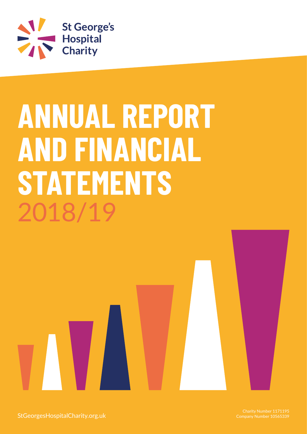

# **ANNUAL REPORT AND FINANCIAL STATEMENTS** 2018/19

StGeorgesHospitalCharity.org.uk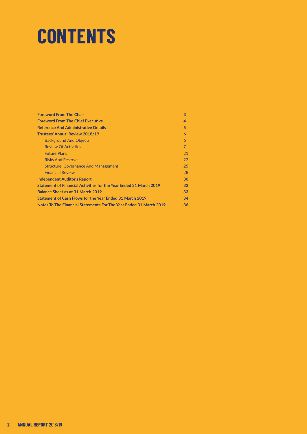# **CONTENTS**

| <b>Foreword From The Chair</b>                                     | 3              |
|--------------------------------------------------------------------|----------------|
| <b>Foreword From The Chief Executive</b>                           | 4              |
| <b>Reference And Administrative Details</b>                        | 5.             |
| <b>Trustees' Annual Review 2018/19</b>                             | 6              |
| <b>Background And Objects</b>                                      | 6              |
| <b>Review Of Activities</b>                                        | $\overline{7}$ |
| <b>Future Plans</b>                                                | 21             |
| <b>Risks And Reserves</b>                                          | 22             |
| <b>Structure, Governance And Management</b>                        | 25             |
| <b>Financial Review</b>                                            | 28             |
| <b>Independent Auditor's Report</b>                                | 30             |
| Statement of Financial Activities for the Year Ended 31 March 2019 | 32             |
| Balance Sheet as at 31 March 2019                                  | 33             |
| Statement of Cash Flows for the Year Ended 31 March 2019           | 34             |
| Notes To The Financial Statements For The Year Ended 31 March 2019 | 36             |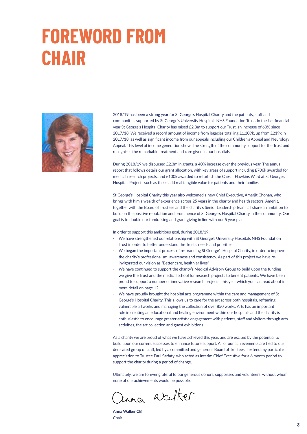# **FOREWORD FROM CHAIR**



2018/19 has been a strong year for St George's Hospital Charity and the patients, staff and communities supported by St George's University Hospitals NHS Foundation Trust. In the last financial year St George's Hospital Charity has raised £2.8m to support our Trust, an increase of 60% since 2017/18. We received a record amount of income from legacies totalling £1,209k, up from £219k in 2017/18, as well as significant income from our appeals including our Children's Appeal and Neurology Appeal. This level of income generation shows the strength of the community support for the Trust and recognises the remarkable treatment and care given in our hospitals.

During 2018/19 we disbursed £2.3m in grants, a 40% increase over the previous year. The annual report that follows details our grant allocation, with key areas of support including £706k awarded for medical research projects, and £100k awarded to refurbish the Caesar Hawkins Ward at St George's Hospital. Projects such as these add real tangible value for patients and their families.

St George's Hospital Charity this year also welcomed a new Chief Executive, Amerjit Chohan, who brings with him a wealth of experience across 25 years in the charity and health sectors. Amerjit, together with the Board of Trustees and the charity's Senior Leadership Team, all share an ambition to build on the positive reputation and prominence of St George's Hospital Charity in the community. Our goal is to double our fundraising and grant giving in line with our 5 year plan.

In order to support this ambitious goal, during 2018/19:

- We have strengthened our relationship with St George's University Hospitals NHS Foundation Trust in order to better understand the Trust's needs and priorities
- We began the important process of re-branding St George's Hospital Charity, in order to improve the charity's professionalism, awareness and consistency. As part of this project we have reinvigorated our vision as "Better care, healthier lives"
- We have continued to support the charity's Medical Advisory Group to build upon the funding we give the Trust and the medical school for research projects to benefit patients. We have been proud to support a number of innovative research projects this year which you can read about in more detail on page 12
- We have proudly brought the hospital arts programme within the care and management of St George's Hospital Charity. This allows us to care for the art across both hospitals, reframing vulnerable artworks and managing the collection of over 850 works. Arts has an important role in creating an educational and healing environment within our hospitals and the charity is enthusiastic to encourage greater artistic engagement with patients, staff and visitors through arts activities, the art collection and guest exhibitions

As a charity we are proud of what we have achieved this year, and are excited by the potential to build upon our current successes to enhance future support. All of our achievements are tied to our dedicated group of staff, led by a committed and generous Board of Trustees. I extend my particular appreciation to Trustee Paul Sarfaty, who acted as Interim Chief Executive for a 6 month period to support the charity during a period of change.

Ultimately, we are forever grateful to our generous donors, supporters and volunteers, without whom none of our achievements would be possible.

inner weeker

**Anna Walker CB** Chair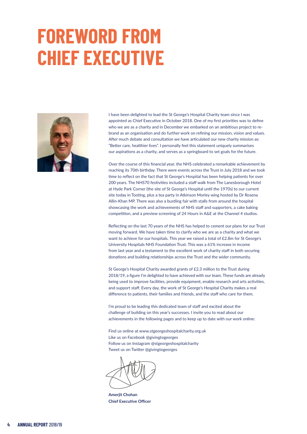# **FOREWORD FROM CHIEF EXECUTIVE**



I have been delighted to lead the St George's Hospital Charity team since I was appointed as Chief Executive in October 2018. One of my first priorities was to define who we are as a charity and in December we embarked on an ambitious project to rebrand as an organisation and do further work on refining our mission, vision and values. After much debate and consultation we have articulated our new charity mission as: "Better care, healthier lives". I personally feel this statement uniquely summarises our aspirations as a charity, and serves as a springboard to set goals for the future.

Over the course of this financial year, the NHS celebrated a remarkable achievement by reaching its 70th birthday. There were events across the Trust in July 2018 and we took time to reflect on the fact that St George's Hospital has been helping patients for over 200 years. The NHS70 festivities included a staff walk from The Lanesborough Hotel at Hyde Park Corner (the site of St George's Hospital until the 1970s) to our current site today in Tooting, plus a tea party in Atkinson Morley wing hosted by Dr Rosena Allin-Khan MP. There was also a bustling fair with stalls from around the hospital showcasing the work and achievements of NHS staff and supporters, a cake baking competition, and a preview screening of 24 Hours in A&E at the Channel 4 studios.

Reflecting on the last 70 years of the NHS has helped to cement our plans for our Trust moving forward. We have taken time to clarify who we are as a charity and what we want to achieve for our hospitals. This year we raised a total of £2.8m for St George's University Hospitals NHS Foundation Trust. This was a 61% increase in income from last year and a testament to the excellent work of charity staff in both securing donations and building relationships across the Trust and the wider community.

St George's Hospital Charity awarded grants of £2.3 million to the Trust during 2018/19, a figure I'm delighted to have achieved with our team. These funds are already being used to improve facilities, provide equipment, enable research and arts activities, and support staff. Every day, the work of St George's Hospital Charity makes a real difference to patients, their families and friends, and the staff who care for them.

I'm proud to be leading this dedicated team of staff and excited about the challenge of building on this year's successes. I invite you to read about our achievements in the following pages and to keep up to date with our work online:

Find us online at www.stgeorgeshospitalcharity.org.uk Like us on Facebook @givingtogeorges Follow us on Instagram @stgeorgeshospitalcharity Tweet us on Twitter @givingtogeorges

**Amerjit Chohan Chief Executive Officer**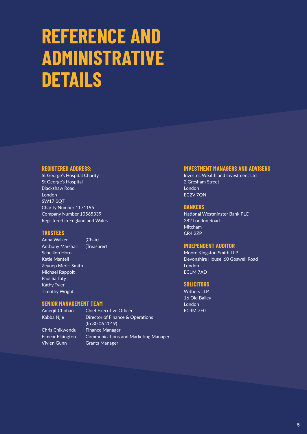# **REFERENCE AND ADMINISTRATIVE DETAILS**

## **REGISTERED ADDRESS:**

St George's Hospital Charity St George's Hospital Blackshaw Road London SW17 0QT Charity Number 1171195 Company Number 10565339 Registered in England and Wales

## **TRUSTEES**

Anna Walker (Chair) Anthony Marshall (Treasurer) Schellion Horn Katie Mantell Zeynep Meric-Smith Michael Rappolt Paul Sarfaty Kathy Tyler Timothy Wright

## **SENIOR MANAGEMENT TEAM**

Amerjit Chohan Chief Executive Officer Kabba Nije **Director of Finance & Operations**  (to 30.06.2019) Chris Chikwendu Finance Manager Eimear Elkington Communications and Marketing Manager Vivien Gunn Grants Manager

## **INVESTMENT MANAGERS AND ADVISERS**

Investec Wealth and Investment Ltd 2 Gresham Street London EC2V 7QN

## **BANKERS**

National Westminster Bank PLC 282 London Road Mitcham CR4 2ZP

## **INDEPENDENT AUDITOR**

Moore Kingston Smith LLP Devonshire House, 60 Goswell Road London EC1M 7AD

## **SOLICITORS**

Withers LLP 16 Old Bailey London EC4M 7EG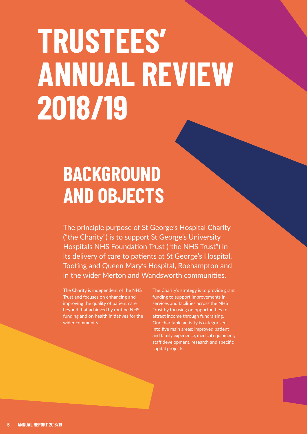# **TRUSTEES' ANNUAL REVIEW 2018/19**

# **BACKGROUND AND OBJECTS**

The principle purpose of St George's Hospital Charity ("the Charity") is to support St George's University Hospitals NHS Foundation Trust ("the NHS Trust") in its delivery of care to patients at St George's Hospital, Tooting and Queen Mary's Hospital, Roehampton and in the wider Merton and Wandsworth communities.

The Charity is independent of the NHS Trust and focuses on enhancing and improving the quality of patient care beyond that achieved by routine NHS funding and on health initiatives for the wider community.

The Charity's strategy is to provide grant funding to support improvements in services and facilities across the NHS Trust by focusing on opportunities to attract income through fundraising. Our charitable activity is categorised into five main areas: improved patient and family experience, medical equipment, staff development, research and specific capital projects.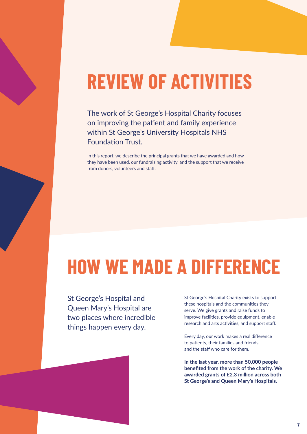# **REVIEW OF ACTIVITIES**

The work of St George's Hospital Charity focuses on improving the patient and family experience within St George's University Hospitals NHS Foundation Trust.

In this report, we describe the principal grants that we have awarded and how they have been used, our fundraising activity, and the support that we receive from donors, volunteers and staff.

# **HOW WE MADE A DIFFERENCE**

St George's Hospital and Queen Mary's Hospital are two places where incredible things happen every day.

St George's Hospital Charity exists to support these hospitals and the communities they serve. We give grants and raise funds to improve facilities, provide equipment, enable research and arts activities, and support staff.

Every day, our work makes a real difference to patients, their families and friends, and the staff who care for them.

**In the last year, more than 50,000 people benefited from the work of the charity. We awarded grants of £2.3 million across both St George's and Queen Mary's Hospitals.**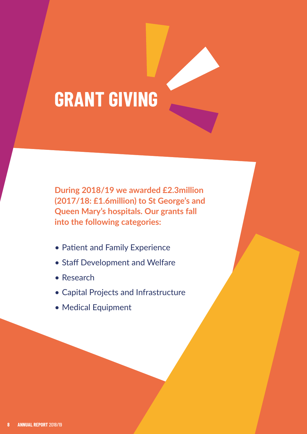

**During 2018/19 we awarded £2.3million (2017/18: £1.6million) to St George's and Queen Mary's hospitals. Our grants fall into the following categories:**

- Patient and Family Experience
- Staff Development and Welfare
- Research
- • Capital Projects and Infrastructure
- • Medical Equipment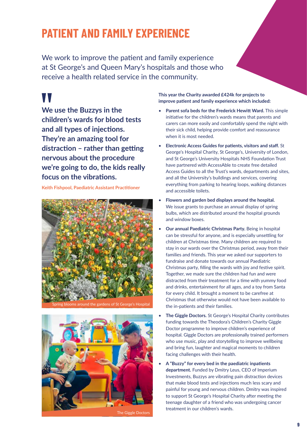# **PATIENT AND FAMILY EXPERIENCE**

We work to improve the patient and family experience at St George's and Queen Mary's hospitals and those who receive a health related service in the community.

# W

**We use the Buzzys in the children's wards for blood tests and all types of injections. They're an amazing tool for distraction – rather than getting nervous about the procedure we're going to do, the kids really focus on the vibrations.**

**Keith Fishpool, Paediatric Assistant Practitioner**





The Giggle Doctors

**This year the Charity awarded £424k for projects to improve patient and family experience which included:**

- **Parent sofa beds for the Frederick Hewitt Ward.** This simple initiative for the children's wards means that parents and carers can more easily and comfortably spend the night with their sick child, helping provide comfort and reassurance when it is most needed.
- **Electronic Access Guides for patients, visitors and staff.** St George's Hospital Charity, St George's, University of London, and St George's University Hospitals NHS Foundation Trust have partnered with AccessAble to create free detailed Access Guides to all the Trust's wards, departments and sites, and all the University's buildings and services, covering everything from parking to hearing loops, walking distances and accessible toilets.
- **Flowers and garden bed displays around the hospital.** We issue grants to purchase an annual display of spring bulbs, which are distributed around the hospital grounds and window boxes.
- **Our annual Paediatric Christmas Party.** Being in hospital can be stressful for anyone, and is especially unsettling for children at Christmas time. Many children are required to stay in our wards over the Christmas period, away from their families and friends. This year we asked our supporters to fundraise and donate towards our annual Paediatric Christmas party, filling the wards with joy and festive spirit. Together, we made sure the children had fun and were distracted from their treatment for a time with yummy food and drinks, entertainment for all ages, and a toy from Santa for every child. It brought a moment to be carefree at Christmas that otherwise would not have been available to the in-patients and their families.
- **The Giggle Doctors.** St George's Hospital Charity contributes funding towards the Theodora's Children's Charity Giggle Doctor programme to improve children's experience of hospital. Giggle Doctors are professionally trained performers who use music, play and storytelling to improve wellbeing and bring fun, laughter and magical moments to children facing challenges with their health.
- **A "Buzzy" for every bed in the paediatric inpatients department.** Funded by Dmitry Leus, CEO of Imperium Investments, Buzzys are vibrating pain distraction devices that make blood tests and injections much less scary and painful for young and nervous children. Dmitry was inspired to support St George's Hospital Charity after meeting the teenage daughter of a friend who was undergoing cancer treatment in our children's wards.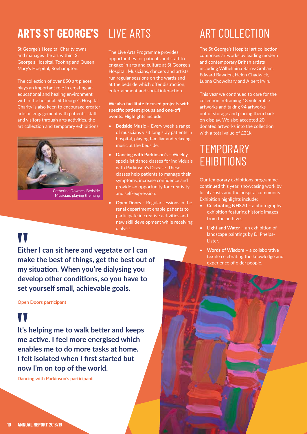# **ARTS ST GEORGE'S** LIVE ARTS

St George's Hospital Charity owns and manages the art within St George's Hospital, Tooting and Queen Mary's Hospital, Roehampton.

The collection of over 850 art pieces plays an important role in creating an educational and healing environment within the hospital. St George's Hospital Charity is also keen to encourage greater artistic engagement with patients, staff and visitors through arts activities, the art collection and temporary exhibitions.



The Live Arts Programme provides opportunities for patients and staff to engage in arts and culture at St George's Hospital. Musicians, dancers and artists run regular sessions on the wards and at the bedside which offer distraction, entertainment and social interaction.

**We also facilitate focused projects with specific patient groups and one-off events. Highlights include:**

- **Bedside Music** Every week a range of musicians visit long stay patients in hospital, playing familiar and relaxing music at the bedside.
- **Dancing with Parkinson's** Weekly specialist dance classes for individuals with Parkinson's Disease. These classes help patients to manage their symptoms, increase confidence and provide an opportunity for creativity and self-expression.
- **Open Doors** Regular sessions in the renal department enable patients to participate in creative activities and new skill development while receiving dialysis.

# ART COLLECTION

The St George's Hospital art collection comprises artworks by leading modern and contemporary British artists including Wilhelmina Barns-Graham, Edward Bawden, Helen Chadwick, Lubna Chowdhary and Albert Irvin.

This year we continued to care for the collection, reframing 18 vulnerable artworks and taking 94 artworks out of storage and placing them back on display. We also accepted 20 donated artworks into the collection with a total value of £21k.

# **TEMPORARY** EHIBITIONS

Our temporary exhibitions programme continued this year, showcasing work by local artists and the hospital community. Exhibition highlights include:

- **Celebrating NHS70** a photography exhibition featuring historic images from the archives.
- **Light and Water** an exhibition of landscape paintings by Di Phelps-Lister.
- **Words of Wisdom** a collaborative textile celebrating the knowledge and experience of older people.

# W

**Either I can sit here and vegetate or I can make the best of things, get the best out of my situation. When you're dialysing you develop other conditions, so you have to set yourself small, achievable goals.**

**Open Doors participant**

# W

**It's helping me to walk better and keeps me active. I feel more energised which enables me to do more tasks at home. I felt isolated when I first started but now I'm on top of the world.**

**Dancing with Parkinson's participant**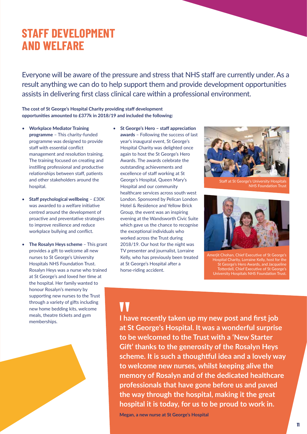## **STAFF DEVELOPMENT AND WELFARE**

Everyone will be aware of the pressure and stress that NHS staff are currently under. As a result anything we can do to help support them and provide development opportunities assists in delivering first class clinical care within a professional environment.

## **The cost of St George's Hospital Charity providing staff development opportunities amounted to £377k in 2018/19 and included the following:**

- **Workplace Mediator Training programme** – This charity-funded programme was designed to provide staff with essential conflict management and resolution training. The training focused on creating and instilling professional and productive relationships between staff, patients and other stakeholders around the hospital.
- **Staff psychological wellbeing** £30K was awarded to a welfare initiative centred around the development of proactive and preventative strategies to improve resilience and reduce workplace bullying and conflict.
- **The Rosalyn Heys scheme** This grant provides a gift to welcome all new nurses to St George's University Hospitals NHS Foundation Trust. Rosalyn Heys was a nurse who trained at St George's and loved her time at the hospital. Her family wanted to honour Rosalyn's memory by supporting new nurses to the Trust through a variety of gifts including new home bedding kits, welcome meals, theatre tickets and gym memberships.
- **St George's Hero staff appreciation awards** – Following the success of last year's inaugural event, St George's Hospital Charity was delighted once again to host the St George's Hero Awards. The awards celebrate the outstanding achievements and excellence of staff working at St George's Hospital, Queen Mary's Hospital and our community healthcare services across south west London. Sponsored by Pelican London Hotel & Residence and Yellow Brick Group, the event was an inspiring evening at the Wandsworth Civic Suite which gave us the chance to recognise the exceptional individuals who worked across the Trust during 2018/19. Our host for the night was TV presenter and journalist, Lorraine Kelly, who has previously been treated at St George's Hospital after a horse-riding accident.



's University Hospital **NHS** Foundation Trust



Amerjit Chohan, Chief Executive of St George's Hospital Charity, Lorraine Kelly, host for the St George's Hero Awards, and Jacqueline Totterdell, Chief Executive of St George's University Hospitals NHS Foundation Trust.

# W

**I have recently taken up my new post and first job at St George's Hospital. It was a wonderful surprise to be welcomed to the Trust with a 'New Starter Gift' thanks to the generosity of the Rosalyn Heys scheme. It is such a thoughtful idea and a lovely way to welcome new nurses, whilst keeping alive the memory of Rosalyn and of the dedicated healthcare professionals that have gone before us and paved the way through the hospital, making it the great hospital it is today, for us to be proud to work in.**

**Megan, a new nurse at St George's Hospital**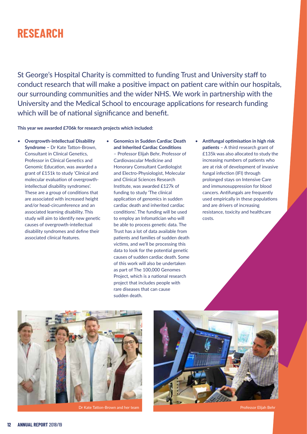## **RESEARCH**

St George's Hospital Charity is committed to funding Trust and University staff to conduct research that will make a positive impact on patient care within our hospitals, our surrounding communities and the wider NHS. We work in partnership with the University and the Medical School to encourage applications for research funding which will be of national significance and benefit.

**This year we awarded £706k for research projects which included:**

- **Overgrowth-intellectual Disability Syndrome –** Dr Kate Tatton-Brown, Consultant in Clinical Genetics, Professor in Clinical Genetics and Genomic Education, was awarded a grant of £151k to study 'Clinical and molecular evaluation of overgrowthintellectual disability syndromes'. These are a group of conditions that are associated with increased height and/or head-circumference and an associated learning disability. This study will aim to identify new genetic causes of overgrowth-intellectual disability syndromes and define their associated clinical features.
- **Genomics in Sudden Cardiac Death and Inherited Cardiac Conditions** – Professor Elijah Behr, Professor of Cardiovascular Medicine and Honorary Consultant Cardiologist and Electro-Physiologist, Molecular and Clinical Sciences Research Institute, was awarded £127k of funding to study 'The clinical application of genomics in sudden cardiac death and inherited cardiac conditions'. The funding will be used to employ an Infomatician who will be able to process genetic data. The Trust has a lot of data available from patients and families of sudden death victims, and we'll be processing this data to look for the potential genetic causes of sudden cardiac death. Some of this work will also be undertaken as part of The 100,000 Genomes Project, which is a national research project that includes people with rare diseases that can cause sudden death.
- **Antifungal optimisation in high risk patients** – A third research grant of £135k was also allocated to study the increasing numbers of patients who are at risk of development of invasive fungal infection (IFI) through prolonged stays on Intensive Care and immunosuppression for blood cancers. Antifungals are frequently used empirically in these populations and are drivers of increasing resistance, toxicity and healthcare costs.



Dr Kate Tatton-Brown and her team Professor Elijah Behr

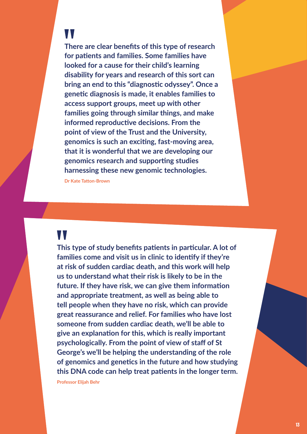# W

**There are clear benefits of this type of research for patients and families. Some families have looked for a cause for their child's learning disability for years and research of this sort can bring an end to this "diagnostic odyssey". Once a genetic diagnosis is made, it enables families to access support groups, meet up with other families going through similar things, and make informed reproductive decisions. From the point of view of the Trust and the University, genomics is such an exciting, fast-moving area, that it is wonderful that we are developing our genomics research and supporting studies harnessing these new genomic technologies.**

**Dr Kate Tatton-Brown**

## W

**This type of study benefits patients in particular. A lot of families come and visit us in clinic to identify if they're at risk of sudden cardiac death, and this work will help us to understand what their risk is likely to be in the future. If they have risk, we can give them information and appropriate treatment, as well as being able to tell people when they have no risk, which can provide great reassurance and relief. For families who have lost someone from sudden cardiac death, we'll be able to give an explanation for this, which is really important psychologically. From the point of view of staff of St George's we'll be helping the understanding of the role of genomics and genetics in the future and how studying this DNA code can help treat patients in the longer term.**

**Professor Elijah Behr**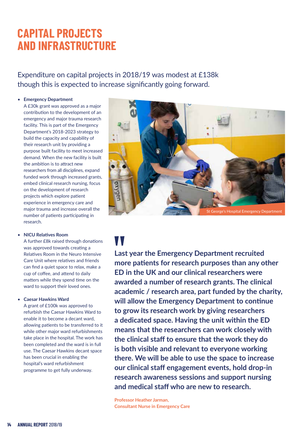# **CAPITAL PROJECTS AND INFRASTRUCTURE**

Expenditure on capital projects in 2018/19 was modest at £138k though this is expected to increase significantly going forward.

## • **Emergency Department**

A £30k grant was approved as a major contribution to the development of an emergency and major trauma research facility. This is part of the Emergency Department's 2018-2023 strategy to build the capacity and capability of their research unit by providing a purpose built facility to meet increased demand. When the new facility is built the ambition is to attract new researchers from all disciplines, expand funded work through increased grants, embed clinical research nursing, focus on the development of research projects which explore patient experience in emergency care and major trauma and increase overall the number of patients participating in research.

### • **NICU Relatives Room**

 A further £8k raised through donations was approved towards creating a Relatives Room in the Neuro Intensive Care Unit where relatives and friends can find a quiet space to relax, make a cup of coffee, and attend to daily matters while they spend time on the ward to support their loved ones.

### • **Caesar Hawkins Ward**

A grant of £100k was approved to refurbish the Caesar Hawkins Ward to enable it to become a decant ward, allowing patients to be transferred to it while other major ward refurbishments take place in the hospital. The work has been completed and the ward is in full use. The Caesar Hawkins decant space has been crucial in enabling the hospital's ward refurbishment programme to get fully underway.



# W

**Last year the Emergency Department recruited more patients for research purposes than any other ED in the UK and our clinical researchers were awarded a number of research grants. The clinical academic / research area, part funded by the charity, will allow the Emergency Department to continue to grow its research work by giving researchers a dedicated space. Having the unit within the ED means that the researchers can work closely with the clinical staff to ensure that the work they do is both visible and relevant to everyone working there. We will be able to use the space to increase our clinical staff engagement events, hold drop-in research awareness sessions and support nursing and medical staff who are new to research.**

**Professor Heather Jarman, Consultant Nurse in Emergency Care**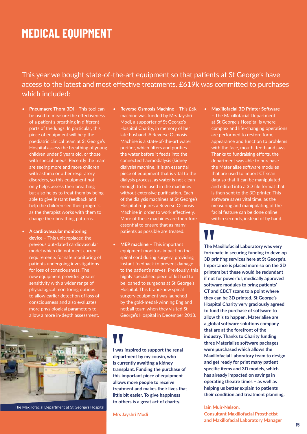## **MEDICAL EQUIPMENT**

This year we bought state-of-the-art equipment so that patients at St George's have access to the latest and most effective treatments. £619k was committed to purchases which included:

- **Pneumacre Thora 3Di**  This tool can be used to measure the effectiveness of a patient's breathing in different parts of the lungs. In particular, this piece of equipment will help the paediatric clinical team at St George's Hospital assess the breathing of young children under 5 years old, or those with special needs. Recently the team are seeing more and more children with asthma or other respiratory disorders, so this equipment not only helps assess their breathing but also helps to treat them by being able to give instant feedback and help the children see their progress as the therapist works with them to change their breathing patterns.
- **A cardiovascular monitoring device** – This unit replaced the previous out-dated cardiovascular model which did not meet current requirements for safe monitoring of patients undergoing investigations for loss of consciousness. The new equipment provides greater sensitivity with a wider range of physiological monitoring options to allow earlier detection of loss of consciousness and also evaluates more physiological parameters to allow a more in-depth assessment.
- **Reverse Osmosis Machine** This £6k machine was funded by Mrs Jayshri Modi, a supporter of St George's Hospital Charity, in memory of her late husband. A Reverse Osmosis Machine is a state-of-the-art water purifier, which filters and purifies the water before it feeds into the connected haemodialysis (kidney dialysis) machine. It is an essential piece of equipment that is vital to the dialysis process, as water is not clean enough to be used in the machines without extensive purification. Each of the dialysis machines at St George's Hospital requires a Reverse Osmosis Machine in order to work effectively. More of these machines are therefore essential to ensure that as many patients as possible are treated.
- **MEP machine** This important equipment monitors impact on the spinal cord during surgery, providing instant feedback to prevent damage to the patient's nerves. Previously, this highly specialised piece of kit had to be loaned to surgeons at St George's Hospital. This brand-new spinal surgery equipment was launched by the gold-medal-winning England netball team when they visited St George's Hospital in December 2018.



The Maxillofacial Department at St George's Hospital

**I was inspired to support the renal department by my cousin, who is currently awaiting a kidney transplant. Funding the purchase of this important piece of equipment allows more people to receive treatment and makes their lives that little bit easier. To give happiness to others is a great act of charity.**

**Mrs Jayshri Modi**

• **Maxillofacial 3D Printer Software** – The Maxillofacial Department at St George's Hospital is where complex and life-changing operations are performed to restore form, appearance and function to problems with the face, mouth, teeth and jaws. Thanks to fundraising efforts, the department was able to purchase the Materialise software modules that are used to import CT scan data so that it can be manipulated and edited into a 3D file format that is then sent to the 3D printer. This software saves vital time, as the measuring and manipulating of the facial feature can be done online within seconds, instead of by hand.

**The Maxillofacial Laboratory was very fortunate in securing funding to develop 3D printing services here at St George's. Importance is placed more so on the 3D printers but these would be redundant if not for powerful, medically approved software modules to bring patients' CT and CBCT scans to a point where they can be 3D printed. St George's Hospital Charity very graciously agreed to fund the purchase of software to allow this to happen. Materialise are a global software solutions company that are at the forefront of the industry. Thanks to Charity funding three Materialise software packages were purchased which allows the Maxillofacial Laboratory team to design and get ready for print many patient specific items and 3D models, which has already impacted on savings in operating theatre times – as well as helping us better explain to patients their condition and treatment planning.**

**Iain Muir-Nelson, Consultant Maxillofacial Prosthetist and Maxillofacial Laboratory Manager**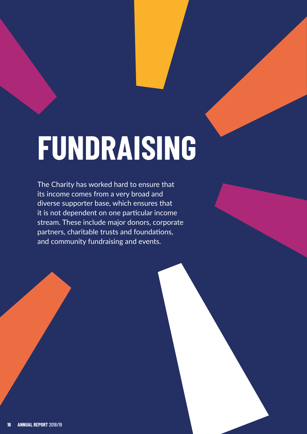# **FUNDRAISING**

The Charity has worked hard to ensure that its income comes from a very broad and diverse supporter base, which ensures that it is not dependent on one particular income stream. These include major donors, corporate partners, charitable trusts and foundations, and community fundraising and events.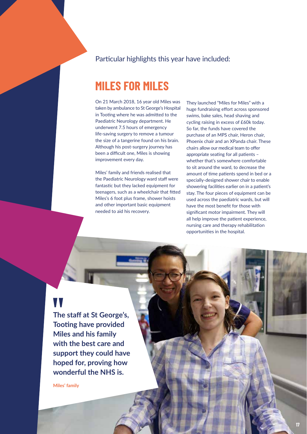## Particular highlights this year have included:

## **MILES FOR MILES**

On 21 March 2018, 16 year old Miles was taken by ambulance to St George's Hospital in Tooting where he was admitted to the Paediatric Neurology department. He underwent 7.5 hours of emergency life-saving surgery to remove a tumour the size of a tangerine found on his brain. Although his post-surgery journey has been a difficult one, Miles is showing improvement every day.

Miles' family and friends realised that the Paediatric Neurology ward staff were fantastic but they lacked equipment for teenagers, such as a wheelchair that fitted Miles's 6 foot plus frame, shower hoists and other important basic equipment needed to aid his recovery.

They launched "Miles for Miles" with a huge fundraising effort across sponsored swims, bake sales, head shaving and cycling raising in excess of £60k today. So far, the funds have covered the purchase of an MPS chair, Heron chair, Phoenix chair and an XPanda chair. These chairs allow our medical team to offer appropriate seating for all patients – whether that's somewhere comfortable to sit around the ward, to decrease the amount of time patients spend in bed or a specially-designed shower chair to enable showering facilities earlier on in a patient's stay. The four pieces of equipment can be used across the paediatric wards, but will have the most benefit for those with significant motor impairment. They will all help improve the patient experience, nursing care and therapy rehabilitation opportunities in the hospital.

# W

**The staff at St George's, Tooting have provided Miles and his family with the best care and support they could have hoped for, proving how wonderful the NHS is.**

**Miles' family**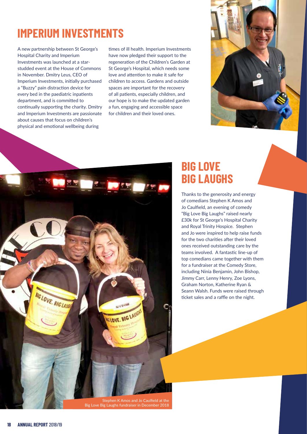# **IMPERIUM INVESTMENTS**

A new partnership between St George's Hospital Charity and Imperium Investments was launched at a starstudded event at the House of Commons in November. Dmitry Leus, CEO of Imperium Investments, initially purchased a "Buzzy" pain distraction device for every bed in the paediatric inpatients department, and is committed to continually supporting the charity. Dmitry and Imperium Investments are passionate about causes that focus on children's physical and emotional wellbeing during

times of ill health. Imperium Investments have now pledged their support to the regeneration of the Children's Garden at St George's Hospital, which needs some love and attention to make it safe for children to access. Gardens and outside spaces are important for the recovery of all patients, especially children, and our hope is to make the updated garden a fun, engaging and accessible space for children and their loved ones.





## **BIG LOVE BIG LAUGHS**

Thanks to the generosity and energy of comedians Stephen K Amos and Jo Caulfield, an evening of comedy "Big Love Big Laughs" raised nearly £30k for St George's Hospital Charity and Royal Trinity Hospice. Stephen and Jo were inspired to help raise funds for the two charities after their loved ones received outstanding care by the teams involved. A fantastic line-up of top comedians came together with them for a fundraiser at the Comedy Store, including Ninia Benjamin, John Bishop, Jimmy Carr, Lenny Henry, Zoe Lyons, Graham Norton, Katherine Ryan & Seann Walsh. Funds were raised through ticket sales and a raffle on the night.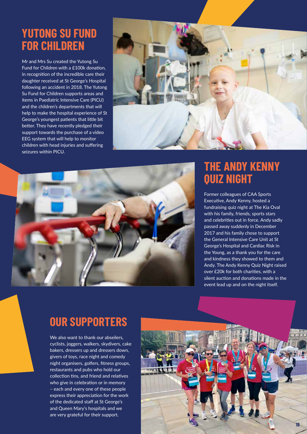## **YUTONG SU FUND FOR CHILDREN**

Mr and Mrs Su created the Yutong Su Fund for Children with a £100k donation, in recognition of the incredible care their daughter received at St George's Hospital following an accident in 2018. The Yutong Su Fund for Children supports areas and items in Paediatric Intensive Care (PICU) and the children's departments that will help to make the hospital experience of St George's youngest patients that little bit better. They have recently pledged their support towards the purchase of a video EEG system that will help to monitor children with head injuries and suffering seizures within PICU.





## **THE ANDY KENNY QUIZ NIGHT**

Former colleagues of CAA Sports Executive, Andy Kenny, hosted a fundraising quiz night at The Kia Oval with his family, friends, sports stars and celebrities out in force. Andy sadly passed away suddenly in December 2017 and his family chose to support the General Intensive Care Unit at St George's Hospital and Cardiac Risk in the Young, as a thank you for the care and kindness they showed to them and Andy. The Andy Kenny Quiz Night raised over £20k for both charities, with a silent auction and donations made in the event lead up and on the night itself.

# **OUR SUPPORTERS**

We also want to thank our abseilers, cyclists, joggers, walkers, skydivers, cake bakers, dressers up and dressers down, givers of toys, race night and comedy night organisers, golfers, fitness groups, restaurants and pubs who hold our collection tins, and friend and relatives who give in celebration or in memory – each and every one of these people express their appreciation for the work of the dedicated staff at St George's and Queen Mary's hospitals and we are very grateful for their support.

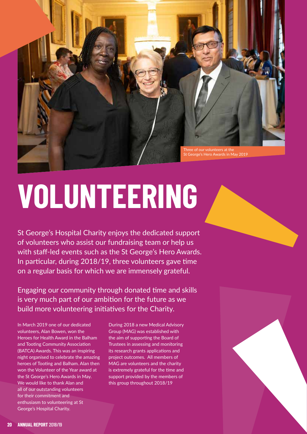

# **VOLUNTEERING**

St George's Hospital Charity enjoys the dedicated support of volunteers who assist our fundraising team or help us with staff-led events such as the St George's Hero Awards. In particular, during 2018/19, three volunteers gave time on a regular basis for which we are immensely grateful.

Engaging our community through donated time and skills is very much part of our ambition for the future as we build more volunteering initiatives for the Charity.

In March 2019 one of our dedicated volunteers, Alan Bowen, won the Heroes for Health Award in the Balham and Tooting Community Association (BATCA) Awards. This was an inspiring night organised to celebrate the amazing heroes of Tooting and Balham. Alan then won the Volunteer of the Year award at the St George's Hero Awards in May. We would like to thank Alan and all of our outstanding volunteers for their commitment and enthusiasm to volunteering at St George's Hospital Charity.

During 2018 a new Medical Advisory Group (MAG) was established with the aim of supporting the Board of Trustees in assessing and monitoring its research grants applications and project outcomes. All members of MAG are volunteers and the charity is extremely grateful for the time and support provided by the members of this group throughout 2018/19



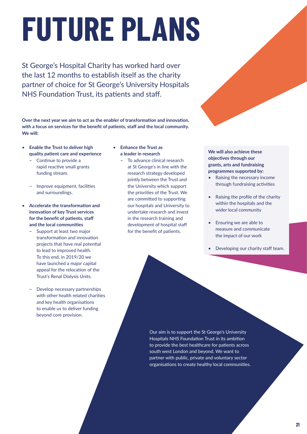# **FUTURE PLANS**

St George's Hospital Charity has worked hard over the last 12 months to establish itself as the charity partner of choice for St George's University Hospitals NHS Foundation Trust, its patients and staff.

**Over the next year we aim to act as the enabler of transformation and innovation, with a focus on services for the benefit of patients, staff and the local community. We will:**

- **Enable the Trust to deliver high quality patient care and experience**
	- **–** Continue to provide a rapid reactive small grants funding stream.
	- **–** Improve equipment, facilities and surroundings.
- **Accelerate the transformation and innovation of key Trust services for the benefit of patients, staff and the local communities**
	- **–** Support at least two major transformation and innovation projects that have real potential to lead to improved health. To this end, in 2019/20 we have launched a major capital appeal for the relocation of the Trust's Renal Dialysis Units.
	- **–** Develop necessary partnerships with other health related charities and key health organisations to enable us to deliver funding beyond core provision.
- **Enhance the Trust as a leader in research**
	- **–** To advance clinical research at St George's in line with the research strategy developed jointly between the Trust and the University which support the priorities of the Trust. We are committed to supporting our hospitals and University to undertake research and invest in the research training and development of hospital staff for the benefit of patients.

**We will also achieve these objectives through our grants, arts and fundraising programmes supported by:**

- Raising the necessary income through fundraising activities
- Raising the profile of the charity within the hospitals and the wider local community
- Ensuring we are able to measure and communicate the impact of our work
- Developing our charity staff team.

Our aim is to support the St George's University Hospitals NHS Foundation Trust in its ambition to provide the best healthcare for patients across south west London and beyond. We want to partner with public, private and voluntary sector organisations to create healthy local communities.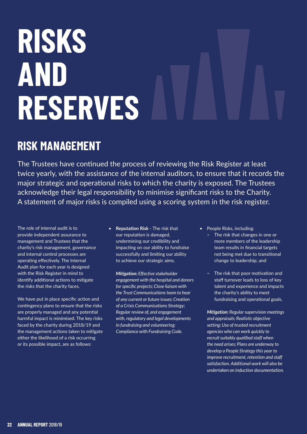# **RISKS AND RESERVES**

# **RISK MANAGEMENT**

The Trustees have continued the process of reviewing the Risk Register at least twice yearly, with the assistance of the internal auditors, to ensure that it records the major strategic and operational risks to which the charity is exposed. The Trustees acknowledge their legal responsibility to minimise significant risks to the Charity. A statement of major risks is compiled using a scoring system in the risk register.

The role of internal audit is to provide independent assurance to management and Trustees that the charity's risk management, governance and internal control processes are operating effectively. The Internal Audit plan for each year is designed with the Risk Register in mind to identify additional actions to mitigate the risks that the charity faces.

We have put in place specific action and contingency plans to ensure that the risks are properly managed and any potential harmful impact is minimised. The key risks faced by the charity during 2018/19 and the management actions taken to mitigate either the likelihood of a risk occurring or its possible impact, are as follows:

• **Reputation Risk** - The risk that our reputation is damaged, undermining our credibility and impacting on our ability to fundraise successfully and limiting our ability to achieve our strategic aims.

 *Mitigation: Effective stakeholder engagement with the hospital and donors for specific projects; Close liaison with the Trust Communications team to hear of any current or future issues; Creation of a Crisis Communications Strategy; Regular review of, and engagement with, regulatory and legal developments in fundraising and volunteering; Compliance with Fundraising Code.*

People Risks, including:

- **–** The risk that changes in one or more members of the leadership team results in financial targets not being met due to transitional change to leadership; and
- **–** The risk that poor motivation and staff turnover leads to loss of key talent and experience and impacts the charity's ability to meet fundraising and operational goals.

 *Mitigation: Regular supervision meetings and appraisals; Realistic objective setting; Use of trusted recruitment agencies who can work quickly to recruit suitably qualified staff when the need arises; Plans are underway to develop a People Strategy this year to improve recruitment, retention and staff satisfaction. Additional work will also be undertaken on induction documentation.*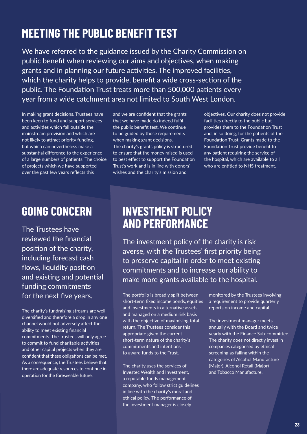# **MEETING THE PUBLIC BENEFIT TEST**

We have referred to the guidance issued by the Charity Commission on public benefit when reviewing our aims and objectives, when making grants and in planning our future activities. The improved facilities, which the charity helps to provide, benefit a wide cross-section of the public. The Foundation Trust treats more than 500,000 patients every year from a wide catchment area not limited to South West London.

In making grant decisions, Trustees have been keen to fund and support services and activities which fall outside the mainstream provision and which are not likely to attract priority funding, but which can nevertheless make a substantial difference to the experience of a large numbers of patients. The choice of projects which we have supported over the past few years reflects this

and we are confident that the grants that we have made do indeed fulfil the public benefit test. We continue to be guided by those requirements when making grant decisions. The charity's grants policy is structured to ensure that the money raised is used to best effect to support the Foundation Trust's work and is in line with donors' wishes and the charity's mission and

objectives. Our charity does not provide facilities directly to the public but provides them to the Foundation Trust and, in so doing, for the patients of the Foundation Trust. Grants made to the Foundation Trust provide benefit to any patient requiring the service of the hospital, which are available to all who are entitled to NHS treatment.

## **GOING CONCERN**

The Trustees have reviewed the financial position of the charity, including forecast cash flows, liquidity position and existing and potential funding commitments for the next five years.

The charity's fundraising streams are well diversified and therefore a drop in any one channel would not adversely affect the ability to meet existing financial commitments. The Trustees will only agree to commit to fund charitable activities and other capital projects when they are confident that these obligations can be met. As a consequence, the Trustees believe that there are adequate resources to continue in operation for the foreseeable future.

## **INVESTMENT POLICY AND PERFORMANCE**

The investment policy of the charity is risk averse, with the Trustees' first priority being to preserve capital in order to meet existing commitments and to increase our ability to make more grants available to the hospital.

The portfolio is broadly split between short-term fixed income bonds, equities and investments in alternative assets and managed on a medium risk basis with the objective of maximising total return. The Trustees consider this appropriate given the current short-term nature of the charity's commitments and intentions to award funds to the Trust.

The charity uses the services of Investec Wealth and Investment, a reputable funds management company, who follow strict guidelines in line with the charity's moral and ethical policy. The performance of the investment manager is closely

monitored by the Trustees involving a requirement to provide quarterly reports on income and capital.

The investment manager meets annually with the Board and twice yearly with the Finance Sub-committee. The charity does not directly invest in companies categorised by ethical screening as falling within the categories of Alcohol Manufacture (Major), Alcohol Retail (Major) and Tobacco Manufacture.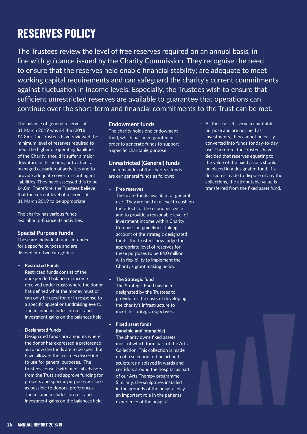# **RESERVES POLICY**

The Trustees review the level of free reserves required on an annual basis, in line with guidance issued by the Charity Commission. They recognise the need to ensure that the reserves held enable financial stability; are adequate to meet working capital requirements and can safeguard the charity's current commitments against fluctuation in income levels. Especially, the Trustees wish to ensure that sufficient unrestricted reserves are available to guarantee that operations can continue over the short-term and financial commitments to the Trust can be met.

The balance of general reserves at 31 March 2019 was £4.4m (2018: £4.8m). The Trustees have reviewed the minimum level of reserves required to meet the higher of operating liabilities of the Charity, should it suffer a major downturn in its income, or to affect a managed cessation of activities and to provide adequate cover for contingent liabilities. They have assessed this to be £4.0m. Therefore, the Trustees believe that the current level of reserves at 31 March 2019 to be appropriate.

The charity has various funds available to finance its activities:

## **Special Purpose funds**

These are individual funds intended for a specific purpose and are divided into two categories:

### **– Restricted Funds**

 Restricted funds consist of the unexpended balance of income received under trusts where the donor has defined what the money must or can only be used for, or in response to a specific appeal or fundraising event. The income includes interest and investment gains on the balances held.

## **– Designated funds**

 Designated funds are amounts where the donor has expressed a preference as to how the funds are to be spent but have allowed the trustees discretion to use for general purposes. The trustees consult with medical advisors from the Trust and approve funding for projects and specific purposes as close as possible to donors' preferences. The income includes interest and investment gains on the balances held.

### **Endowment funds**

The charity holds one endowment fund, which has been granted in order to generate funds to support a specific charitable purpose

## **Unrestricted (General) funds**

The remainder of the charity's funds are our general funds as follows:

**– Free reserves**

These are funds available for general use. They are held at a level to cushion the effects of the economic cycle and to provide a reasonable level of investment income within Charity Commission guidelines. Taking account of the strategic designated funds, the Trustees now judge the appropriate level of reserves for these purposes to be £4.0 million, with flexibility to implement the Charity's grant making policy.

## **– The Strategic fund**

The Strategic Fund has been designated by the Trustees to provide for the costs of developing the charity's infrastructure to meet its strategic objectives.

**– Fixed asset funds (tangible and intangible)**

The charity owns fixed assets, most of which form part of the Arts Collection. This collection is made up of a selection of fine art and sculptures displayed in wards and corridors around the hospital as part of our Arts Therapy programme. Similarly, the sculptures installed in the grounds of the hospital play an important role in the patients' experience of the hospital.

**–** As these assets serve a charitable purpose and are not held as investments, they cannot be easily converted into funds for day-to-day use. Therefore, the Trustees have decided that reserves equating to the value of the fixed assets should be placed in a designated fund. If a decision is made to dispose of any the collections, the attributable value is transferred from the fixed asset fund.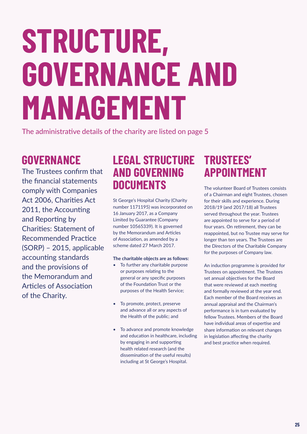# **STRUCTURE, GOVERNANCE AND MANAGEMENT**

The administrative details of the charity are listed on page 5

# **GOVERNANCE**

The Trustees confirm that the financial statements comply with Companies Act 2006, Charities Act 2011, the Accounting and Reporting by Charities: Statement of Recommended Practice (SORP) – 2015, applicable accounting standards and the provisions of the Memorandum and Articles of Association of the Charity.

## **LEGAL STRUCTURE AND GOVERNING DOCUMENTS**

St George's Hospital Charity (Charity number 1171195) was incorporated on 16 January 2017, as a Company Limited by Guarantee (Company number 10565339). It is governed by the Memorandum and Articles of Association, as amended by a scheme dated 27 March 2017.

## **The charitable objects are as follows:**

- To further any charitable purpose or purposes relating to the general or any specific purposes of the Foundation Trust or the purposes of the Health Service;
- To promote, protect, preserve and advance all or any aspects of the Health of the public; and
- • To advance and promote knowledge and education in healthcare, including by engaging in and supporting health related research (and the dissemination of the useful results) including at St George's Hospital.

## **TRUSTEES' APPOINTMENT**

The volunteer Board of Trustees consists of a Chairman and eight Trustees, chosen for their skills and experience. During 2018/19 (and 2017/18) all Trustees served throughout the year. Trustees are appointed to serve for a period of four years. On retirement, they can be reappointed, but no Trustee may serve for longer than ten years. The Trustees are the Directors of the Charitable Company for the purposes of Company law.

An induction programme is provided for Trustees on appointment. The Trustees set annual objectives for the Board that were reviewed at each meeting and formally reviewed at the year end. Each member of the Board receives an annual appraisal and the Chairman's performance is in turn evaluated by fellow Trustees. Members of the Board have individual areas of expertise and share information on relevant changes in legislation affecting the charity and best practice when required.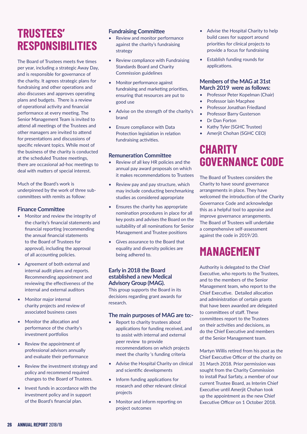# **TRUSTEES' RESPONSIBILITIES**

The Board of Trustees meets five times per year, including a strategic Away Day, and is responsible for governance of the charity. It agrees strategic plans for fundraising and other operations and also discusses and approves operating plans and budgets. There is a review of operational activity and financial performance at every meeting. The Senior Management Team is invited to attend all meetings of the Trustees and other managers are invited to attend for presentations and discussions of specific relevant topics. While most of the business of the charity is conducted at the scheduled Trustee meetings, there are occasional ad-hoc meetings to deal with matters of special interest.

Much of the Board's work is underpinned by the work of three subcommittees with remits as follow:

## **Finance Committee**

- Monitor and review the integrity of the charity's financial statements and financial reporting (recommending the annual financial statements to the Board of Trustees for approval), including the approval of all accounting policies.
- Agreement of both external and internal audit plans and reports. Recommending appointment and reviewing the effectiveness of the internal and external auditors
- Monitor major internal charity projects and review of associated business cases
- Monitor the allocation and performance of the charity's investment portfolios
- Review the appointment of professional advisors annually and evaluate their performance
- Review the investment strategy and policy and recommend required changes to the Board of Trustees.
- Invest funds in accordance with the investment policy and in support of the Board's financial plan.

## **Fundraising Committee**

- Review and monitor performance against the charity's fundraising strategy
- Review compliance with Fundraising Standards Board and Charity Commission guidelines
- Monitor performance against fundraising and marketing priorities, ensuring that resources are put to good use
- Advise on the strength of the charity's brand
- Ensure compliance with Data Protection legislation in relation fundraising activities.

## **Remuneration Committee**

- Review of all key HR policies and the annual pay award proposals on which it makes recommendations to Trustees
- Review pay and pay structure, which may include conducting benchmarking studies as considered appropriate
- Ensures the charity has appropriate nomination procedures in place for all key posts and advises the Board on the suitability of all nominations for Senior Management and Trustee positions
- Gives assurance to the Board that equality and diversity policies are being adhered to.

## **Early in 2018 the Board established a new Medical Advisory Group (MAG).**

This group supports the Board in its decisions regarding grant awards for research.

## **The main purposes of MAG are to:-**

- Report to charity trustees about applications for funding received, and to assist with internal and external peer review to provide recommendations on which projects meet the charity 's funding criteria
- Advise the Hospital Charity on clinical and scientific developments
- Inform funding applications for research and other relevant clinical projects
- Monitor and inform reporting on project outcomes
- Advise the Hospital Charity to help build cases for support around priorities for clinical projects to provide a focus for fundraising
- Establish funding rounds for applications.

## **Members of the MAG at 31st March 2019 were as follows:**

- • Professor Peter Kopelman (Chair)
- Professor Iain Macphee
- Professor Jonathan Friedland
- Professor Barry Gusterson
- Dr Dan Forton
- Kathy Tyler (SGHC Trustee)
- Ameriit Chohan (SGHC CEO)

# **CHARITY GOVERNANCE CODE**

The Board of Trustees considers the Charity to have sound governance arrangements in place. They have welcomed the introduction of the Charity Governance Code and acknowledge this as a helpful tool to appraise and improve governance arrangements. The Board of Trustees will undertake a comprehensive self-assessment against the code in 2019/20.

# **MANAGEMENT**

Authority is delegated to the Chief Executive, who reports to the Trustees, and to the members of the Senior Management team, who report to the Chief Executive. Detailed allocation and administration of certain grants that have been awarded are delegated to committees of staff. These committees report to the Trustees on their activities and decisions, as do the Chief Executive and members of the Senior Management team.

Martyn Willis retired from his post as the Chief Executive Officer of the charity on 31 March 2018. Prior permission was sought from the Charity Commission to install Paul Sarfaty, a member of our current Trustee Board, as Interim Chief Executive until Amerjit Chohan took up the appointment as the new Chief Executive Officer on 1 October 2018.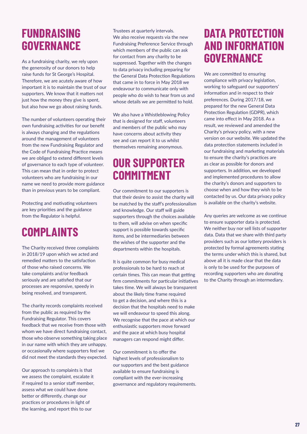## **FUNDRAISING GOVERNANCE**

As a fundraising charity, we rely upon the generosity of our donors to help raise funds for St George's Hospital. Therefore, we are acutely aware of how important it is to maintain the trust of our supporters. We know that it matters not just how the money they give is spent, but also how we go about raising funds.

The number of volunteers operating their own fundraising activities for our benefit is always changing and the regulations around the management of volunteers from the new Fundraising Regulator and the Code of Fundraising Practice means we are obliged to extend different levels of governance to each type of volunteer. This can mean that in order to protect volunteers who are fundraising in our name we need to provide more guidance than in previous years to be compliant.

Protecting and motivating volunteers are key priorities and the guidance from the Regulator is helpful.

# **COMPLAINTS**

The Charity received three complaints in 2018/19 upon which we acted and remedied matters to the satisfaction of those who raised concerns. We take complaints and/or feedback seriously and are satisfied that our processes are responsive, speedy in being resolved, and transparent.

The charity records complaints received from the public as required by the Fundraising Regulator. This covers feedback that we receive from those with whom we have direct fundraising contact, those who observe something taking place in our name with which they are unhappy, or occasionally where supporters feel we did not meet the standards they expected.

Our approach to complaints is that we assess the complaint, escalate it if required to a senior staff member, assess what we could have done better or differently, change our practices or procedures in light of the learning, and report this to our

Trustees at quarterly intervals. We also receive requests via the new Fundraising Preference Service through which members of the public can ask for contact from any charity to be suppressed. Together with the changes to data privacy including preparing for the General Data Protection Regulations that came in to force in May 2018 we endeavour to communicate only with people who do wish to hear from us and whose details we are permitted to hold.

We also have a Whistleblowing Policy that is designed for staff, volunteers and members of the public who may have concerns about activity they see and can report it to us whilst themselves remaining anonymous.

## **OUR SUPPORTER COMMITMENT**

Our commitment to our supporters is that their desire to assist the charity will be matched by the staff's professionalism and knowledge. Our staff will guide supporters through the choices available to them, will advise on when specific support is possible towards specific items, and be intermediaries between the wishes of the supporter and the departments within the hospitals.

It is quite common for busy medical professionals to be hard to reach at certain times. This can mean that getting firm commitments for particular initiatives takes time. We will always be transparent about the likely time frame required to get a decision, and where this is a decision that the hospitals need to make we will endeavour to speed this along. We recognise that the pace at which our enthusiastic supporters move forward and the pace at which busy hospital managers can respond might differ.

Our commitment is to offer the highest levels of professionalism to our supporters and the best guidance available to ensure fundraising is compliant with the ever-increasing governance and regulatory requirements.

## **DATA PROTECTION AND INFORMATION GOVERNANCE**

We are committed to ensuring compliance with privacy legislation, working to safeguard our supporters' information and in respect to their preferences. During 2017/18, we prepared for the new General Data Protection Regulation (GDPR), which came into effect in May 2018. As a result, we reviewed and amended the Charity's privacy policy, with a new version on our website. We updated the data protection statements included in our fundraising and marketing materials to ensure the charity's practices are as clear as possible for donors and supporters. In addition, we developed and implemented procedures to allow the charity's donors and supporters to choose when and how they wish to be contacted by us. Our data privacy policy is available on the charity's website.

Any queries are welcome as we continue to ensure supporter data is protected. We neither buy nor sell lists of supporter data. Data that we share with third party providers such as our lottery providers is protected by formal agreements stating the terms under which this is shared, but above all it is made clear that the data is only to be used for the purposes of recording supporters who are donating to the Charity through an intermediary.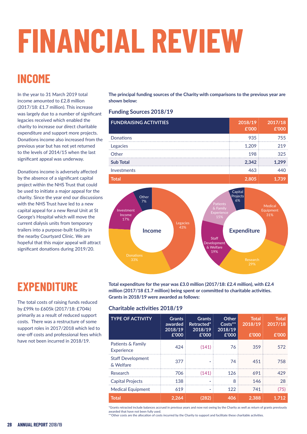# **FINANCIAL REVIEW**

# **INCOME**

In the year to 31 March 2019 total income amounted to £2.8 million (2017/18: £1.7 million). This increase was largely due to a number of significant legacies received which enabled the charity to increase our direct charitable expenditure and support more projects. Donations income also increased from the previous year but has not yet returned to the levels of 2014/15 when the last significant appeal was underway.

Donations income is adversely affected by the absence of a significant capital project within the NHS Trust that could be used to initiate a major appeal for the charity. Since the year end our discussions with the NHS Trust have led to a new capital appeal for a new Renal Unit at St George's Hospital which will move the current dialysis units from temporary trailers into a purpose-built facility in the nearby Courtyard Clinic. We are hopeful that this major appeal will attract significant donations during 2019/20.

# **EXPENDITURE**

The total costs of raising funds reduced by £99k to £605k (2017/18: £704k) primarily as a result of reduced support costs. There was a restructure of some support roles in 2017/2018 which led to one-off costs and professional fees which have not been incurred in 2018/19.

**The principal funding sources of the Charity with comparisons to the previous year are shown below:**

## **Funding Sources 2018/19**

| <b>FUNDRAISING ACTIVITIES</b> | 2018/19 | 2017/18 |
|-------------------------------|---------|---------|
| <b>Donations</b>              | 935     | 755     |
| Legacies                      |         |         |
| Other                         | 198     | 325     |
| <b>Sub Total</b>              | 2.342   |         |
| Investments                   |         |         |
|                               |         |         |



**Total expenditure for the year was £3.0 million (2017/18: £2.4 million), with £2.4 million (2017/18 £1.7 million) being spent or committed to charitable activities. Grants in 2018/19 were awarded as follows:**

## **Charitable activities 2018/19**

| <b>TYPE OF ACTIVITY</b>               | <b>Grants</b><br>awarded<br>2018/19<br>£'000 | <b>Grants</b><br>Retracted*<br>2018/19<br>£'000 | Other<br>$Costs**$<br>2018/19<br>£'000 | Total<br>2018/19<br>E'000 | Total<br>2017/18<br>£'000 |
|---------------------------------------|----------------------------------------------|-------------------------------------------------|----------------------------------------|---------------------------|---------------------------|
| Patients & Family<br>Experience       | 424                                          | (141)                                           | 76                                     | 359                       | 572                       |
| <b>Staff Development</b><br>& Welfare | 377                                          |                                                 | 74                                     | 451                       | 758                       |
| Research                              | 706                                          | (141)                                           | 126                                    | 691                       | 479                       |
| <b>Capital Projects</b>               | 138                                          |                                                 | 8                                      | 146                       | 28                        |
| <b>Medical Equipment</b>              | 619                                          |                                                 | 122                                    | 741                       | (75)                      |
| Total                                 | 2.264                                        |                                                 | 406                                    | 2.388                     |                           |

\*Grants retracted include balances accrued in previous years and now not owing by the Charity as well as return of grants previously awarded that have not been fully used.

\*\*Other costs are the allocation of costs incurred by the Charity to support and facilitate these charitable activities.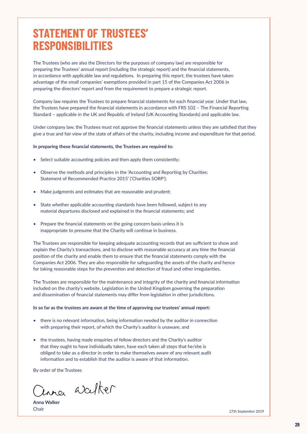## **STATEMENT OF TRUSTEES' RESPONSIBILITIES**

The Trustees (who are also the Directors for the purposes of company law) are responsible for preparing the Trustees' annual report (including the strategic report) and the financial statements, in accordance with applicable law and regulations. In preparing this report, the trustees have taken advantage of the small companies' exemptions provided in part 15 of the Companies Act 2006 in preparing the directors' report and from the requirement to prepare a strategic report.

Company law requires the Trustees to prepare financial statements for each financial year. Under that law, the Trustees have prepared the financial statements in accordance with FRS 102 – The Financial Reporting Standard – applicable in the UK and Republic of Ireland (UK Accounting Standards) and applicable law.

Under company law, the Trustees must not approve the financial statements unless they are satisfied that they give a true and fair view of the state of affairs of the charity, including income and expenditure for that period.

#### **In preparing these financial statements, the Trustees are required to:**

- Select suitable accounting policies and then apply them consistently;
- Observe the methods and principles in the 'Accounting and Reporting by Charities: Statement of Recommended Practice 2015' ('Charities SORP');
- Make judgments and estimates that are reasonable and prudent;
- State whether applicable accounting standards have been followed, subject to any material departures disclosed and explained in the financial statements; and
- Prepare the financial statements on the going concern basis unless it is inappropriate to presume that the Charity will continue in business.

The Trustees are responsible for keeping adequate accounting records that are sufficient to show and explain the Charity's transactions, and to disclose with reasonable accuracy at any time the financial position of the charity and enable them to ensure that the financial statements comply with the Companies Act 2006. They are also responsible for safeguarding the assets of the charity and hence for taking reasonable steps for the prevention and detection of fraud and other irregularities.

The Trustees are responsible for the maintenance and integrity of the charity and financial information included on the charity's website. Legislation in the United Kingdom governing the preparation and dissemination of financial statements may differ from legislation in other jurisdictions.

#### **In so far as the trustees are aware at the time of approving our trustees' annual report:**

- there is no relevant information, being information needed by the auditor in connection with preparing their report, of which the Charity's auditor is unaware, and
- the trustees, having made enquiries of fellow directors and the Charity's auditor that they ought to have individually taken, have each taken all steps that he/she is obliged to take as a director in order to make themselves aware of any relevant audit information and to establish that the auditor is aware of that information.

By order of the Trustees

inner weeker

**Anna Walker**

Chair 27th September 2019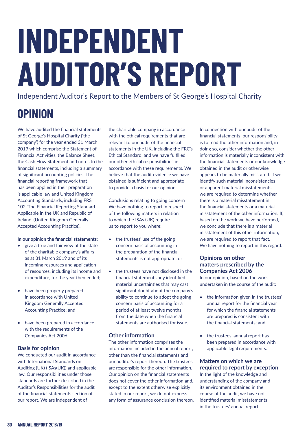# **INDEPENDENT AUDITOR'S REPORT**

Independent Auditor's Report to the Members of St George's Hospital Charity

# **OPINION**

We have audited the financial statements of St George's Hospital Charity ('the company') for the year ended 31 March 2019 which comprise the Statement of Financial Activities, the Balance Sheet, the Cash Flow Statement and notes to the financial statements, including a summary of significant accounting policies. The financial reporting framework that has been applied in their preparation is applicable law and United Kingdom Accounting Standards, including FRS 102 'The Financial Reporting Standard Applicable in the UK and Republic of Ireland' (United Kingdom Generally Accepted Accounting Practice).

## **In our opinion the financial statements:**

- give a true and fair view of the state of the charitable company's affairs as at 31 March 2019 and of its incoming resources and application of resources, including its income and expenditure, for the year then ended;
- have been properly prepared in accordance with United Kingdom Generally Accepted Accounting Practice; and
- have been prepared in accordance with the requirements of the Companies Act 2006.

## **Basis for opinion**

We conducted our audit in accordance with International Standards on Auditing (UK) (ISAs(UK)) and applicable law. Our responsibilities under those standards are further described in the Auditor's Responsibilities for the audit of the financial statements section of our report. We are independent of

the charitable company in accordance with the ethical requirements that are relevant to our audit of the financial statements in the UK, including the FRC's Ethical Standard, and we have fulfilled our other ethical responsibilities in accordance with these requirements. We believe that the audit evidence we have obtained is sufficient and appropriate to provide a basis for our opinion.

Conclusions relating to going concern We have nothing to report in respect of the following matters in relation to which the ISAs (UK) require us to report to you where:

- the trustees' use of the going concern basis of accounting in the preparation of the financial statements is not appropriate; or
- the trustees have not disclosed in the financial statements any identified material uncertainties that may cast significant doubt about the company's ability to continue to adopt the going concern basis of accounting for a period of at least twelve months from the date when the financial statements are authorised for issue.

## **Other information**

The other information comprises the information included in the annual report, other than the financial statements and our auditor's report thereon. The trustees are responsible for the other information. Our opinion on the financial statements does not cover the other information and, except to the extent otherwise explicitly stated in our report, we do not express any form of assurance conclusion thereon. In connection with our audit of the financial statements, our responsibility is to read the other information and, in doing so, consider whether the other information is materially inconsistent with the financial statements or our knowledge obtained in the audit or otherwise appears to be materially misstated. If we identify such material inconsistencies or apparent material misstatements, we are required to determine whether there is a material misstatement in the financial statements or a material misstatement of the other information. If based on the work we have performed, we conclude that there is a material misstatement of this other information, we are required to report that fact. We have nothing to report in this regard.

## **Opinions on other matters prescribed by the Companies Act 2006**

In our opinion, based on the work undertaken in the course of the audit:

- the information given in the trustees' annual report for the financial year for which the financial statements are prepared is consistent with the financial statements; and
- the trustees' annual report has been prepared in accordance with applicable legal requirements.

## **Matters on which we are required to report by exception**

In the light of the knowledge and understanding of the company and its environment obtained in the course of the audit, we have not identified material misstatements in the trustees' annual report.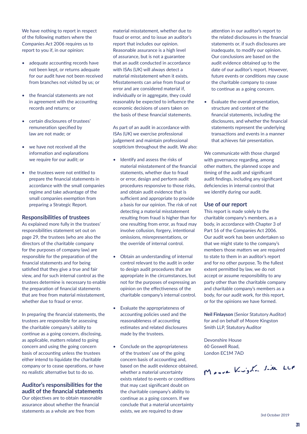We have nothing to report in respect of the following matters where the Companies Act 2006 requires us to report to you if, in our opinion:

- adequate accounting records have not been kept, or returns adequate for our audit have not been received from branches not visited by us; or
- the financial statements are not in agreement with the accounting records and returns; or
- certain disclosures of trustees' remuneration specified by law are not made; or
- we have not received all the information and explanations we require for our audit; or
- the trustees were not entitled to prepare the financial statements in accordance with the small companies regime and take advantage of the small companies exemption from preparing a Strategic Report.

### **Responsibilities of trustees**

As explained more fully in the trustees' responsibilities statement set out on page 29, the trustees (who are also the directors of the charitable company for the purposes of company law) are responsible for the preparation of the financial statements and for being satisfied that they give a true and fair view, and for such internal control as the trustees determine is necessary to enable the preparation of financial statements that are free from material misstatement, whether due to fraud or error.

In preparing the financial statements, the trustees are responsible for assessing the charitable company's ability to continue as a going concern, disclosing, as applicable, matters related to going concern and using the going concern basis of accounting unless the trustees either intend to liquidate the charitable company or to cease operations, or have no realistic alternative but to do so.

## **Auditor's responsibilities for the audit of the financial statements**

Our objectives are to obtain reasonable assurance about whether the financial statements as a whole are free from

material misstatement, whether due to fraud or error, and to issue an auditor's report that includes our opinion. Reasonable assurance is a high level of assurance, but is not a guarantee that an audit conducted in accordance with ISAs (UK) will always detect a material misstatement when it exists. Misstatements can arise from fraud or error and are considered material if, individually or in aggregate, they could reasonably be expected to influence the economic decisions of users taken on the basis of these financial statements.

As part of an audit in accordance with ISAs (UK) we exercise professional judgement and maintain professional scepticism throughout the audit. We also:

- Identify and assess the risks of material misstatement of the financial statements, whether due to fraud or error, design and perform audit procedures responsive to those risks, and obtain audit evidence that is sufficient and appropriate to provide a basis for our opinion. The risk of not detecting a material misstatement resulting from fraud is higher than for one resulting from error, as fraud may involve collusion, forgery, intentional omissions, misrepresentations, or the override of internal control.
- Obtain an understanding of internal control relevant to the audit in order to design audit procedures that are appropriate in the circumstances, but not for the purposes of expressing an opinion on the effectiveness of the charitable company's internal control.
- Evaluate the appropriateness of accounting policies used and the reasonableness of accounting estimates and related disclosures made by the trustees.
- Conclude on the appropriateness of the trustees' use of the going concern basis of accounting and, based on the audit evidence obtained, whether a material uncertainty exists related to events or conditions that may cast significant doubt on the charitable company's ability to continue as a going concern. If we conclude that a material uncertainty exists, we are required to draw

attention in our auditor's report to the related disclosures in the financial statements or, if such disclosures are inadequate, to modify our opinion. Our conclusions are based on the audit evidence obtained up to the date of our auditor's report. However, future events or conditions may cause the charitable company to cease to continue as a going concern.

• Evaluate the overall presentation, structure and content of the financial statements, including the disclosures, and whether the financial statements represent the underlying transactions and events in a manner that achieves fair presentation.

We communicate with those charged with governance regarding, among other matters, the planned scope and timing of the audit and significant audit findings, including any significant deficiencies in internal control that we identify during our audit.

#### **Use of our report**

This report is made solely to the charitable company's members, as a body, in accordance with Chapter 3 of Part 16 of the Companies Act 2006. Our audit work has been undertaken so that we might state to the company's members those matters we are required to state to them in an auditor's report and for no other purpose. To the fullest extent permitted by law, we do not accept or assume responsibility to any party other than the charitable company and charitable company's members as a body, for our audit work, for this report, or for the opinions we have formed.

**Neil Finlayson** (Senior Statutory Auditor) for and on behalf of Moore Kingston Smith LLP, Statutory Auditor

Devonshire House 60 Goswell Road, London EC1M 7AD

Moore Kingsh. Six LLP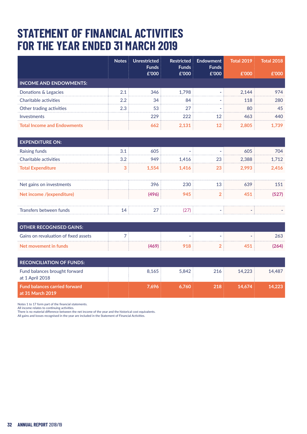# **STATEMENT OF FINANCIAL ACTIVITIES FOR THE YEAR ENDED 31 MARCH 2019**

|                                    | <b>Notes</b> | Unrestricted<br><b>Funds</b><br>£'000 | <b>Restricted</b><br><b>Funds</b><br>E'000 | Endowment<br><b>Funds</b><br>£'000 | <b>Total 2019</b><br>£'000 | <b>Total 2018</b><br>f'000 |
|------------------------------------|--------------|---------------------------------------|--------------------------------------------|------------------------------------|----------------------------|----------------------------|
| <b>INCOME AND ENDOWMENTS:</b>      |              |                                       |                                            |                                    |                            |                            |
| Donations & Legacies               | 2.1          | 346                                   | 1.798                                      |                                    | 2.144                      | 974                        |
| Charitable activities              | $2.2\,$      | 34                                    | 84                                         |                                    | 118                        | 280                        |
| Other trading activities           | 2.3          | 53                                    | 27                                         |                                    | 80                         | 45                         |
| Investments                        |              | 229                                   | 222                                        | 12                                 | 463                        | 440                        |
| <b>Total Income and Endowments</b> |              | 662                                   | 2.131                                      | 12                                 | 2.805                      | 1.739                      |

| <b>EXPENDITURE ON:</b>    |     |       |       |            |       |       |
|---------------------------|-----|-------|-------|------------|-------|-------|
| Raising funds             | 3.1 | 605   |       |            | 605   | 704   |
| Charitable activities     | 3.2 | 949   | 1.416 | 23         | 2.388 | 1.712 |
| <b>Total Expenditure</b>  | 3   | 1,554 | 1,416 | 23         | 2,993 | 2.416 |
|                           |     |       |       |            |       |       |
| Net gains on investments  |     | 396   | 230   | 13         | 639   | 151   |
| Net income /(expenditure) |     | (496) | 945   | $\sqrt{2}$ | 451   | (527) |
|                           |     |       |       |            |       |       |
| Transfers between funds   | 14  | 27    |       |            |       |       |

| <b>OTHER RECOGNISED GAINS:</b>       |  |  |      |
|--------------------------------------|--|--|------|
| Gains on revaluation of fixed assets |  |  | 263  |
| Net movement in funds                |  |  | 264) |

| <b>RECONCILIATION OF FUNDS:</b>                          |                |     |        |        |
|----------------------------------------------------------|----------------|-----|--------|--------|
| Fund balances brought forward<br>at 1 April 2018         | 5.842<br>8.165 | 216 | 14.223 | 14.487 |
| <b>Fund balances carried forward</b><br>at 31 March 2019 | 7.696<br>6.760 | 218 | 14.674 | 14,223 |

Notes 1 to 17 form part of the financial statements.

All income relates to continuing activities.

There is no material difference between the net income of the year and the historical cost equivalents. All gains and losses recognised in the year are included in the Statement of Financial Activities.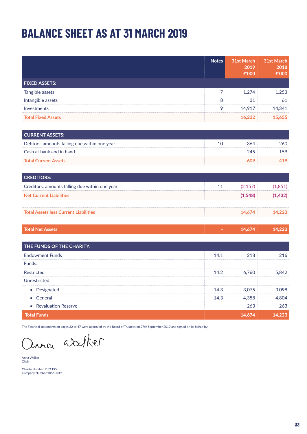# **BALANCE SHEET AS AT 31 MARCH 2019**

|                                                | <b>Notes</b>   | 31st March<br>2019<br>£'000 | 31st March<br>2018<br>£'000 |
|------------------------------------------------|----------------|-----------------------------|-----------------------------|
| <b>FIXED ASSETS:</b>                           |                |                             |                             |
| Tangible assets                                | $\overline{7}$ | 1,274                       | 1,253                       |
| Intangible assets                              | 8              | 31                          | 61                          |
| Investments                                    | 9              | 14,917                      | 14,341                      |
| <b>Total Fixed Assets</b>                      |                | 16,222                      | 15,655                      |
| <b>CURRENT ASSETS:</b>                         |                |                             |                             |
| Debtors: amounts falling due within one year   | 10             | 364                         | 260                         |
| Cash at bank and in hand                       |                | 245                         | 159                         |
| <b>Total Current Assets</b>                    |                | 609                         | 419                         |
| <b>CREDITORS:</b>                              |                |                             |                             |
| Creditors: amounts falling due within one year | 11             | (2, 157)                    | (1,851)                     |
| <b>Net Current Liabilities</b>                 |                | (1,548)                     | (1, 432)                    |
| <b>Total Assets less Current Liabilities</b>   |                | 14,674                      | 14,223                      |
| <b>Total Net Assets</b>                        |                | 14,674                      | 14,223                      |
| THE FUNDS OF THE CHARITY:                      |                |                             |                             |
| <b>Endowment Funds</b>                         | 14.1           | 218                         | 216                         |
| Funds:                                         |                |                             |                             |
| Restricted                                     | 14.2           | 6,760                       | 5,842                       |
| Unrestricted                                   |                |                             |                             |
| • Designated                                   | 14.3           | 3,075                       | 3,098                       |

 • General 14.3 4,358 4,804 • Revaluation Reserve 263  **Total Funds 14,674 14,223**

The Financial statements on pages 32 to 47 were approved by the Board of Trustees on 27th September 2019 and signed on its behalf by:

una walker

Anna Walker Chair

Charity Number 1171195 Company Number 10565339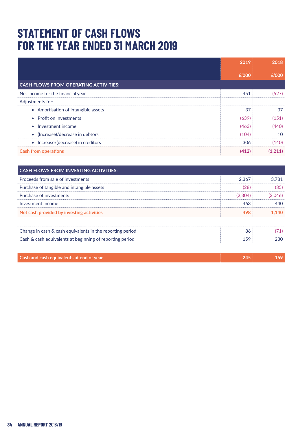# **STATEMENT OF CASH FLOWS FOR THE YEAR ENDED 31 MARCH 2019**

|                                              | 2019  | 2018    |  |
|----------------------------------------------|-------|---------|--|
|                                              | £'000 | £'000   |  |
| <b>CASH FLOWS FROM OPERATING ACTIVITIES:</b> |       |         |  |
| Net income for the financial year            | 451   | (527)   |  |
| Adjustments for:                             |       |         |  |
| • Amortisation of intangible assets          | 37    | 37      |  |
| • Profit on investments                      | (639) | (151)   |  |
| • Investment income                          | (463) | (440)   |  |
| • (Increase)/decrease in debtors             | (104) | 10      |  |
| • Increase/(decrease) in creditors           | 306   | (140)   |  |
| <b>Cash from operations</b>                  | (412) | (1.211) |  |

| <b>CASH FLOWS FROM INVESTING ACTIVITIES:</b>              |         |         |
|-----------------------------------------------------------|---------|---------|
| Proceeds from sale of investments                         | 2.367   | 3.781   |
| Purchase of tangible and intangible assets                | (28)    | (35)    |
| Purchase of investments                                   | (2,304) | (3,046) |
| Investment income                                         | 463     | 440     |
| Net cash provided by investing activities                 | 498     | 1.140   |
| Change in cash & cash equivalents in the reporting period | 86      |         |
| Cash & cash equivalents at beginning of reporting period  | 159     | 230     |
| Cash and cash equivalents at end of year                  | 245     | 159     |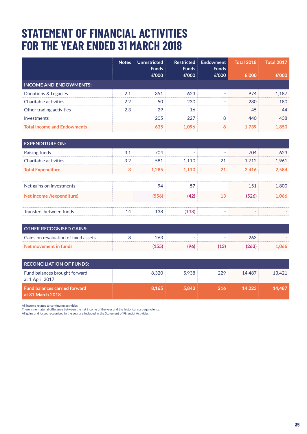# **STATEMENT OF FINANCIAL ACTIVITIES FOR THE YEAR ENDED 31 MARCH 2018**

|                                    | <b>Notes</b> | Unrestricted<br><b>Funds</b><br>£'000 | <b>Restricted</b><br><b>Funds</b><br>£'000 | Endowment<br><b>Funds</b><br>£'000 | <b>Total 2018</b><br>£'000 | <b>Total 2017</b><br>f'000 |
|------------------------------------|--------------|---------------------------------------|--------------------------------------------|------------------------------------|----------------------------|----------------------------|
| <b>INCOME AND ENDOWMENTS:</b>      |              |                                       |                                            |                                    |                            |                            |
| Donations & Legacies               | 2.1          | 351                                   | 623                                        |                                    | 974                        | 1.187                      |
| Charitable activities              | 2.2          | 50                                    | 230                                        |                                    | 280                        | 180                        |
| Other trading activities           | 2.3          | 29                                    | 16                                         |                                    | 45                         | 44                         |
| Investments                        |              | 205                                   | 227                                        | 8                                  | 440                        | 438                        |
| <b>Total Income and Endowments</b> |              | 635                                   | 1.096                                      | 8                                  | 1.739                      | 1.850                      |

| <b>EXPENDITURE ON:</b>    |     |       |       |    |       |       |
|---------------------------|-----|-------|-------|----|-------|-------|
| Raising funds             | 3.1 | 704   |       |    | 704   | 623   |
| Charitable activities     | 3.2 | 581   | 1.110 | 21 | 1.712 | 1.961 |
| <b>Total Expenditure</b>  | 3   | 1,285 | 1.110 | 21 | 2,416 | 2.584 |
|                           |     |       |       |    |       |       |
| Net gains on investments  |     | 94    | 57    |    | 151   | 1.800 |
| Net income /(expenditure) |     | (556) |       | 13 | (526) | 1.066 |
|                           |     |       |       |    |       |       |
| Transfers between funds   | 14  | 138   | 138   |    | -     |       |

| <b>OTHER RECOGNISED GAINS:</b>       |     |   |                |      |      |
|--------------------------------------|-----|---|----------------|------|------|
| Gains on revaluation of fixed assets | 263 | - |                | 263  |      |
| Net movement in funds                | 155 |   | $^{\prime}13)$ | '263 | .066 |

| <b>RECONCILIATION OF FUNDS:</b>                          |       |       |     |        |        |
|----------------------------------------------------------|-------|-------|-----|--------|--------|
| Fund balances brought forward<br>at 1 April 2017         | 8.320 | 5.938 | 229 | 14.487 | 13.421 |
| <b>Fund balances carried forward</b><br>at 31 March 2018 | 8.165 | 5.843 | 216 | 14.223 | 14.487 |

All income relates to continuing activities. There is no material difference between the net income of the year and the historical cost equivalents.

All gains and losses recognised in the year are included in the Statement of Financial Activities.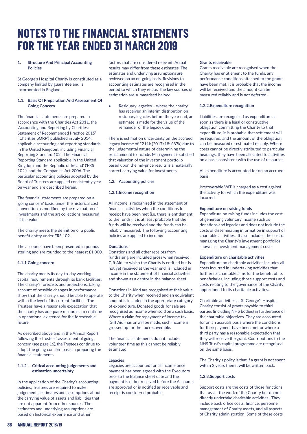# **NOTES TO THE FINANCIAL STATEMENTS FOR THE YEAR ENDED 31 MARCH 2019**

#### **1. Structure And Principal Accounting Policies**

St George's Hospital Charity is constituted as a company limited by guarantee and is incorporated in England.

#### **1.1. Basis Of Preparation And Assessment Of Going Concern**

The financial statements are prepared in accordance with the Charities Act 2011, the 'Accounting and Reporting by Charities: Statement of Recommended Practice 2015' ('Charities SORP') published in July 2014, applicable accounting and reporting standards in the United Kingdom, including Financial Reporting Standard 102, 'The Financial Reporting Standard applicable in the United Kingdom and the Republic of Ireland' ('FRS 102'), and the Companies Act 2006. The particular accounting policies adopted by the Board of Trustees are applied consistently year on year and are described herein.

The financial statements are prepared on a 'going concern' basis, under the historical cost convention as modified by the revaluation of investments and the art collections measured at fair value.

The charity meets the definition of a public benefit entity under FRS 102.

The accounts have been presented in pounds sterling and are rounded to the nearest £1,000.

#### **1.1.1.Going concern**

The charity meets its day-to-day working capital requirements through its bank facilities. The charity's forecasts and projections, taking account of possible changes in performance, show that the charity should be able to operate within the level of its current facilities. The Trustees have a reasonable expectation that the charity has adequate resources to continue in operational existence for the foreseeable future.

As described above and in the Annual Report, following the Trustees' assessment of going concern (see page 16), the Trustees continue to adopt the going concern basis in preparing the financial statements.

#### **1.1.2 . Critical accounting judgements and estimation uncertainty**

In the application of the Charity's accounting policies, Trustees are required to make judgements, estimates and assumptions about the carrying value of assets and liabilities that are not apparent from other sources. The estimates and underlying assumptions are based on historical experience and other

factors that are considered relevant. Actual results may differ from these estimates. The estimates and underlying assumptions are reviewed on an on-going basis. Revisions to accounting estimates are recognised in the period to which they relate. The key sources of estimation are summarised below:

Residuary legacies – where the charity has received an interim distribution on residuary legacies before the year end, an estimate is made for the value of the remainder of the legacy due.

There is estimation uncertainty on the accrued legacy income of £211k (2017/18: £87k) due to the judgemental nature of determining the exact amount to include. Management is satisfied that valuation of the investment portfolio based upon the md-price results is a materially correct carrying value for investments.

#### **1.2. Accounting policies**

#### **1.2.1.Income recognition**

All income is recognised in the statement of financial activities when the conditions for receipt have been met (i.e. there is entitlement to the funds), it is at least probable that the funds will be received and the funds can be reliably measured. The following accounting policies are applied to income:

#### **Donations**

Donations and all other receipts from fundraising are included gross when received. Gift Aid, to which the Charity is entitled but is not yet received at the year end, is included in income in the statement of financial activities and shown as a debtor in the balance sheet.

Donations in-kind are recognised at their value to the Charity when received and an equivalent amount is included in the appropriate category of expenditure. Donated goods for sale are recognised as income when sold on a cash basis. Where a claim for repayment of income tax (Gift Aid) has or will be made, such income is grossed up for the tax recoverable.

The financial statements do not include volunteer time as this cannot be reliably estimated.

#### **Legacies**

Legacies are accounted for as income once payment has been agreed with the Executors prior to the Balance sheet date and the payment is either received before the Accounts are approved or is notified as receivable and receipt is considered probable.

#### **Grants receivable**

Grants receivable are recognised when the Charity has entitlement to the funds, any performance conditions attached to the grants have been met, it is probable that the income will be received and the amount can be measured reliably and is not deferred.

#### **1.2.2.Expenditure recognition**

Liabilities are recognised as expenditure as soon as there is a legal or constructive obligation committing the Charity to that expenditure, it is probable that settlement will be required, and the amount of the obligation can be measured or estimated reliably. Where costs cannot be directly attributed to particular headings, they have been allocated to activities on a basis consistent with the use of resources.

All expenditure is accounted for on an accrued basis.

Irrecoverable VAT is charged as a cost against the activity for which the expenditure was incurred.

#### **Expenditure on raising funds**

Expenditure on raising funds includes the cost of generating voluntary income such as donations and legacies and does not include the costs of disseminating information in support of charitable activities. It also includes the cost of managing the Charity's investment portfolios shown as investment management costs.

#### **Expenditure on charitable activities**

Expenditure on charitable activities includes all costs incurred in undertaking activities that further its charitable aims for the benefit of its beneficiaries, including those support costs and costs relating to the governance of the Charity apportioned to its charitable activities.

Charitable activities at St George's Hospital Charity consist of grants payable to third parties (including NHS bodies) in furtherance of the charitable objectives. They are accounted for on an accruals basis where the conditions for their payment have been met or where a third party has a reasonable expectation that they will receive the grant. Contributions to the NHS Trust's capital programme are recognised on the same basis.

The Charity's policy is that if a grant is not spent within 2 years then it will be written back.

### **1.2.3.Support costs**

Support costs are the costs of those functions that assist the work of the Charity but do not directly undertake charitable activities. They include back office costs, finance, personnel, management of Charity assets, and all aspects of Charity administration. Some of these costs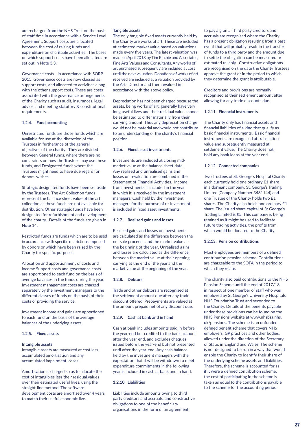are recharged from the NHS Trust on the basis of staff time in accordance with a Service Level Agreement. Support costs are allocated between the cost of raising funds and expenditure on charitable activities. The bases on which support costs have been allocated are set out in Note 3.3.

Governance costs - in accordance with SORP 2015, Governance costs are now classed as support costs, and allocated to activities along with the other support costs. These are costs associated with the governance arrangements of the Charity such as audit, insurances, legal advice, and meeting statutory & constitutional requirements.

#### **1.2.4. Fund accounting**

Unrestricted funds are those funds which are available for use at the discretion of the Trustees in furtherance of the general objectives of the charity. They are divided between General funds, where there are no constraints on how the Trustees may use these funds, and Designated funds where the Trustees might need to have due regard for donors' wishes.

Strategic designated funds have been set aside by the Trustees. The Art Collection funds represent the balance sheet value of the art collection as these funds are not available for distribution. Other strategic funds have been designated for refurbishment and development of the charity. Details of the funds are given in Note 14.

Restricted funds are funds which are to be used in accordance with specific restrictions imposed by donors or which have been raised by the Charity for specific purposes.

Allocation and apportionment of costs and income Support costs and governance costs are apportioned to each fund on the basis of average balances in the funds during the year. Investment management costs are charged separately by the investment managers to the different classes of funds on the basis of their costs of providing the service.

Investment income and gains are apportioned to each fund on the basis of the average balances of the underlying assets.

#### **1.2.5. Fixed assets**

#### **Intangible assets**

Intangible assets are measured at cost less accumulated amortisation and any accumulated impairment losses.

Amortisation is charged so as to allocate the cost of intangibles less their residual values over their estimated useful lives, using the straight-line method. The software development costs are amortised over 4 years to match their useful economic live.

#### **Tangible assets**

The only tangible fixed assets currently held by the Charity are works of art. These are included at estimated market value based on valuations made every five years. The latest valuation was made in April 2018 by Tim Ritchie and Associates, Fine Arts Valuers and Consultants. Any works of art purchased subsequently are included at cost until the next valuation. Donations of works of art received are included at a valuation provided by the Arts Director and then revalued in accordance with the above policy.

Depreciation has not been charged because the assets, being works of art, generally have very long useful lives and their residual value cannot be estimated to differ materially from their carrying amount. Thus any depreciation charge would not be material and would not contribute to an understanding of the charity's financial position.

#### **1.2.6. Fixed asset investments**

Investments are included at closing midmarket value at the balance sheet date. Any realised and unrealised gains and losses on revaluation are combined in the Statement of Financial Activities. Income from investments is included in the year in which it is received by the investment managers. Cash held by the investment managers for the purpose of re-investment is included in fixed asset investments.

#### **1.2.7. Realised gains and losses**

Realised gains and losses on investments are calculated as the difference between the net sale proceeds and the market value at the beginning of the year. Unrealised gains and losses are calculated as the difference between the market value at their opening carrying at the end of the year and the market value at the beginning of the year.

#### **1.2.8. Debtors**

Trade and other debtors are recognised at the settlement amount due after any trade discount offered. Prepayments are valued at the amount prepaid net of any discount due.

#### **1.2.9. Cash at bank and in hand**

Cash at bank includes amounts paid in before the year-end but credited to the bank account after the year end, and excludes cheques issued before the year-end but not presented until after the year-end. Any cash balance held by the investment managers with the expectation that it will be withdrawn to meet expenditure commitments in the following year is included in cash at bank and in hand.

#### **1.2.10. Liabilities**

Liabilities include amounts owing to third party creditors and accruals, and constructive obligations to one of the beneficiary organisations in the form of an agreement

to pay a grant. Third party creditors and accruals are recognised where the Charity has a present obligation resulting from a past event that will probably result in the transfer of funds to a third party and the amount due to settle the obligation can be measured or estimated reliably. Constructive obligations are recognised on the date the Charity Trustees approve the grant or in the period to which they determine the grant is attributable.

Creditors and provisions are normally recognised at their settlement amount after allowing for any trade discounts due.

#### **1.2.11. Financial instruments**

The Charity only has financial assets and financial liabilities of a kind that qualify as basic financial instruments. Basic financial instruments are recognised at transaction value and subsequently measured at settlement value. The Charity does not hold any bank loans at the year end.

#### **1.2.12. Connected companies**

Two Trustees of St. George's Hospital Charity each currently hold one ordinary £1 share in a dormant company, St. George's Trading Limited (Company Number 3481144) and one Trustee of the Charity holds two £1 shares. The Charity also holds one ordinary £1 share. The issued share capital of St George's Trading Limited is £5. This company is being retained as it might be used to facilitate future trading activities, the profits from which would be donated to the Charity.

#### **1.2.13. Pension contributions**

Most employees are members of a defined contribution pension scheme. Contributions are chargeable to the SOFA in the period to which they relate.

The charity also paid contributions to the NHS Pension Scheme until the end of 2017/18 in respect of one member of staff who was employed by St George's University Hospitals NHS Foundation Trust and seconded to the Charity. Details of the benefits payable under these provisions can be found on the NHS Pensions website at www.nhshsa.nhs. uk/pensions. The scheme is an unfunded, defined benefit scheme that covers NHS employers, GP practices and other bodies, allowed under the direction of the Secretary of State, in England and Wales. The scheme is not designed to be run in a way that would enable the Charity to identify their share of the underlying scheme assets and liabilities. Therefore, the scheme is accounted for as if it were a defined contribution scheme: the cost of participating in the scheme is taken as equal to the contributions payable to the scheme for the accounting period.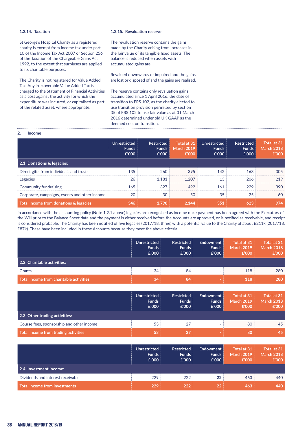#### **1.2.14. Taxation**

St George's Hospital Charity as a registered charity is exempt from income tax under part 10 of the Income Tax Act 2007 or Section 256 of the Taxation of the Chargeable Gains Act 1992, to the extent that surpluses are applied to its charitable purposes.

The Charity is not registered for Value Added Tax. Any irrecoverable Value Added Tax is charged to the Statement of Financial Activities as a cost against the activity for which the expenditure was incurred, or capitalised as part of the related asset, where appropriate.

#### **1.2.15. Revaluation reserve**

The revaluation reserve contains the gains made by the Charity arising from increases in the fair value of its tangible fixed assets. The balance is reduced when assets with accumulated gains are:

Revalued downwards or impaired and the gains are lost or disposed of and the gains are realised.

The reserve contains only revaluation gains accumulated since 1 April 2016, the date of transition to FRS 102, as the charity elected to use transition provision permitted by section 35 of FRS 102 to use fair value as at 31 March 2016 determined under old UK GAAP as the deemed cost on transition. 

#### **2. Income**

|                                               | Unrestricted<br><b>Funds</b><br>£'000 | <b>Restricted</b><br><b>Funds</b><br>£'000 | Total at 31<br><b>March 2019</b><br>£'000 | <b>Unrestricted</b><br><b>Funds</b><br>£'000 | <b>Restricted</b><br><b>Funds</b><br>£'000 | Total at 31<br>March 2018<br>£'000 |
|-----------------------------------------------|---------------------------------------|--------------------------------------------|-------------------------------------------|----------------------------------------------|--------------------------------------------|------------------------------------|
| 2.1. Donations & legacies:                    |                                       |                                            |                                           |                                              |                                            |                                    |
| Direct gifts from individuals and trusts      | 135                                   | 260                                        | 395                                       | 142                                          | 163                                        | 305                                |
| Legacies                                      | 26                                    | 1.181                                      | 1.207                                     | 13                                           | 206                                        | 219                                |
| Community fundraising                         | 165                                   | 327                                        | 492                                       | 161                                          | 229                                        | 390                                |
| Corporate, campaigns, events and other income | 20                                    | 30                                         | 50                                        | 35                                           | 25                                         | 60                                 |
| Total income from donations & legacies        | 346                                   | 1.798                                      | 2.144                                     | 351                                          | 623                                        | 974                                |

In accordance with the accounting policy (Note 1.2.1 above) legacies are recognised as income once payment has been agreed with the Executors of the Will prior to the Balance Sheet date and the payment is either received before the Accounts are approved, or is notified as receivable, and receipt is considered probable. The Charity has been notified of five legacies (2017/18: three) with a potential value to the Charity of about £211k (2017/18: £87k). These have been included in these Accounts because they meet the above criteria.

|                                         | Unrestricted<br><b>Funds</b><br>£'000 | <b>Restricted</b><br><b>Funds</b><br>£'000 | Endowment<br><b>Funds</b><br>£'000 | Total at 31<br><b>March 2019</b><br>£'000 | Total at 31<br><b>March 2018</b><br>£'000 |
|-----------------------------------------|---------------------------------------|--------------------------------------------|------------------------------------|-------------------------------------------|-------------------------------------------|
| $\mid$ 2.2. Charitable activities:      |                                       |                                            |                                    |                                           |                                           |
| Grants                                  | 34                                    | 84                                         |                                    | 118                                       | 280                                       |
| Total income from charitable activities | 34                                    | 84                                         |                                    | 118                                       | 280                                       |

|                                           | <b>Unrestricted</b><br><b>Funds</b><br>£'000 | <b>Restricted</b><br><b>Funds</b><br>£'000 | Endowment<br><b>Funds</b><br>£'000 | Total at 31<br><b>March 2019</b><br>£'000 | Total at 31<br><b>March 2018</b><br>£'000 |
|-------------------------------------------|----------------------------------------------|--------------------------------------------|------------------------------------|-------------------------------------------|-------------------------------------------|
| 2.3. Other trading activities:            |                                              |                                            |                                    |                                           |                                           |
| Course fees, sponsorship and other income | 53                                           | 27                                         |                                    | 80                                        | 45                                        |
| Total income from trading activities      | 53                                           | 27                                         |                                    | 80                                        | 45                                        |

|                                   | <b>Unrestricted</b><br><b>Funds</b><br>£'000 | <b>Restricted</b><br><b>Funds</b><br>£'000 | Endowment<br><b>Funds</b><br>£'000 | Total at 31<br><b>March 2019</b><br>£'000 | Total at 31<br>March 2018<br>£'000 |
|-----------------------------------|----------------------------------------------|--------------------------------------------|------------------------------------|-------------------------------------------|------------------------------------|
| 2.4. Investment income:           |                                              |                                            |                                    |                                           |                                    |
| Dividends and interest receivable | 229                                          | 222                                        | 22                                 | 463                                       | 440                                |
| Total income from investments     | 229                                          | 222                                        | 22                                 | 463                                       | 440                                |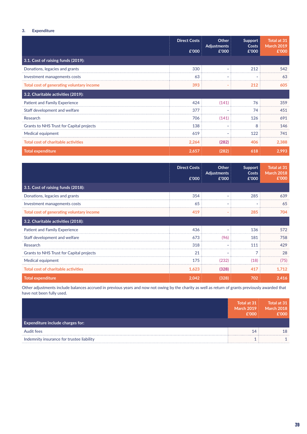## **3. Expenditure**

|                                            | <b>Direct Costs</b><br>£'000 | Other<br><b>Adjustments</b><br>£'000 | Support<br>Costs<br>£'000 | Total at 31<br><b>March 2019</b><br>£'000 |
|--------------------------------------------|------------------------------|--------------------------------------|---------------------------|-------------------------------------------|
| 3.1. Cost of raising funds (2019):         |                              |                                      |                           |                                           |
| Donations, legacies and grants             | 330                          |                                      | 212                       | 542                                       |
| Investment managements costs               | 63                           |                                      |                           | 63                                        |
| Total cost of generating voluntary income  | 393                          |                                      | 212                       | 605                                       |
| 3.2. Charitable activities (2019):         |                              |                                      |                           |                                           |
| <b>Patient and Family Experience</b>       | 424                          | (141)                                | 76                        | 359                                       |
| Staff development and welfare              | 377                          |                                      | 74                        | 451                                       |
| Research                                   | 706                          | (141)                                | 126                       | 691                                       |
| Grants to NHS Trust for Capital projects   | 138                          |                                      | 8                         | 146                                       |
| Medical equipment                          | 619                          |                                      | 122                       | 741                                       |
| <b>Total cost of charitable activities</b> | 2,264                        | (282)                                | 406                       | 2,388                                     |
| <b>Total expenditure</b>                   | 2,657                        | (282)                                | 618                       | 2,993                                     |

|                                            | <b>Direct Costs</b><br>£'000 | Other<br><b>Adjustments</b><br>£'000 | <b>Support</b><br>Costs<br>£'000 | Total at 31<br><b>March 2018</b><br>£'000 |
|--------------------------------------------|------------------------------|--------------------------------------|----------------------------------|-------------------------------------------|
| 3.1. Cost of raising funds (2018):         |                              |                                      |                                  |                                           |
| Donations, legacies and grants             | 354                          | $\overline{\phantom{a}}$             | 285                              | 639                                       |
| Investment managements costs               | 65                           | ٠                                    |                                  | 65                                        |
| Total cost of generating voluntary income  | 419                          |                                      | 285                              | 704                                       |
| 3.2. Charitable activities (2018):         |                              |                                      |                                  |                                           |
| <b>Patient and Family Experience</b>       | 436                          |                                      | 136                              | 572                                       |
| Staff development and welfare              | 673                          | (96)                                 | 181                              | 758                                       |
| Research                                   | 318                          | ٠                                    | 111                              | 429                                       |
| Grants to NHS Trust for Capital projects   | 21                           |                                      | 7                                | 28                                        |
| Medical equipment                          | 175                          | (232)                                | (18)                             | (75)                                      |
| <b>Total cost of charitable activities</b> | 1,623                        | (328)                                | 417                              | 1,712                                     |
| <b>Total expenditure</b>                   | 2,042                        | (328)                                | 702                              | 2,416                                     |

Other adjustments include balances accrued in previous years and now not owing by the charity as well as return of grants previously awarded that have not been fully used.

|                                           | $\sqrt{2}$ Total at 31<br><b>March 2019</b><br>f'000 | Total at 31<br><b>March 2018</b><br>f'000 |
|-------------------------------------------|------------------------------------------------------|-------------------------------------------|
| <b>Expenditure include charges for:</b>   |                                                      |                                           |
| Audit fees                                |                                                      | 18                                        |
| Indemnity insurance for trustee liability |                                                      |                                           |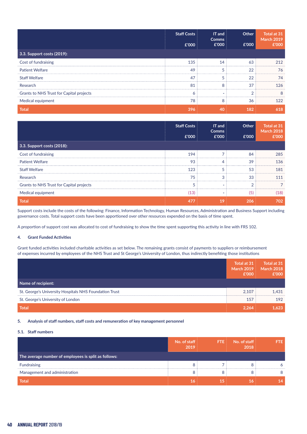|                                          | <b>Staff Costs</b><br>£'000 | IT and<br><b>Comms</b><br>£'000 | Other<br>£'000 | Total at 31<br><b>March 2019</b><br>£'000 |
|------------------------------------------|-----------------------------|---------------------------------|----------------|-------------------------------------------|
| 3.3. Support costs (2019):               |                             |                                 |                |                                           |
| Cost of fundraising                      | 135                         | 14                              | 63             | 212                                       |
| <b>Patient Welfare</b>                   | 49                          | 5                               | 22             | 76                                        |
| <b>Staff Welfare</b>                     | 47                          |                                 | 22             | 74                                        |
| Research                                 | 81                          | 8                               | 37             | 126                                       |
| Grants to NHS Trust for Capital projects | 6                           |                                 | ົ              | 8                                         |
| Medical equipment                        | 78                          | 8                               | 36             | 122                                       |
| <b>Total</b>                             | 396                         | 40                              | 182            | 618                                       |

|                                          | <b>Staff Costs</b><br>£'000 | IT and<br><b>Comms</b><br>£'000 | Other<br>£'000 | Total at 31<br><b>March 2018</b><br>£'000 |
|------------------------------------------|-----------------------------|---------------------------------|----------------|-------------------------------------------|
| 3.3. Support costs (2018):               |                             |                                 |                |                                           |
| Cost of fundraising                      | 194                         |                                 | 84             | 285                                       |
| <b>Patient Welfare</b>                   | 93                          | Δ                               | 39             | 136                                       |
| <b>Staff Welfare</b>                     | 123                         |                                 | 53             | 181                                       |
| Research                                 | 75                          | 3                               | 33             | 111                                       |
| Grants to NHS Trust for Capital projects |                             |                                 | ◠              |                                           |
| Medical equipment                        | (13)                        |                                 | (5)            | (18)                                      |
| <b>Total</b>                             | 477                         | 19                              | 206            | 702                                       |

Support costs include the costs of the following: Finance, Information Technology, Human Resources, Administration and Business Support including governance costs. Total support costs have been apportioned over other resources expended on the basis of time spent.

A proportion of support cost was allocated to cost of fundraising to show the time spent supporting this activity in line with FRS 102.

#### **4. Grant Funded Activities**

Grant funded activities included charitable activities as set below. The remaining grants consist of payments to suppliers or reimbursement of expenses incurred by employees of the NHS Trust and St George's University of London, thus indirectly benefiting those institutions

|                                                        | Total at 31<br><b>March 2019</b><br>£'000 | Total at 31<br><b>March 2018</b><br>£'000 |
|--------------------------------------------------------|-------------------------------------------|-------------------------------------------|
| Name of recipient:                                     |                                           |                                           |
| St. George's University Hospitals NHS Foundation Trust | 2.107                                     | 1.431                                     |
| St. George's University of London                      | 157                                       | 192                                       |
| <b>Total</b>                                           | 2.264                                     | 1.623                                     |

#### **5. Analysis of staff numbers, staff costs and remuneration of key management personnel**

#### **5.1. Staff numbers**

|                                                      | No. of staff<br>2019 | <b>FTE</b> | No. of staff<br>2018 | FIE |
|------------------------------------------------------|----------------------|------------|----------------------|-----|
| The average number of employees is split as follows: |                      |            |                      |     |
| <b>Fundraising</b>                                   |                      |            |                      |     |
| Management and administration                        |                      |            |                      |     |
| Total                                                |                      |            |                      |     |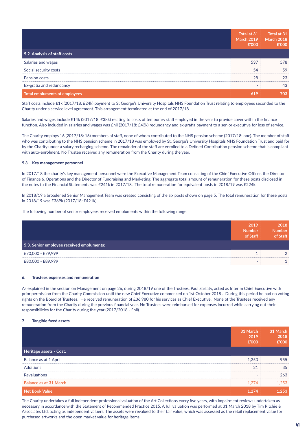|                               | Total at 31<br><b>March 2019</b><br>£'000 | $\sqrt{10}$ Total at 31<br><b>March 2018</b><br>£'000 |
|-------------------------------|-------------------------------------------|-------------------------------------------------------|
| 5.2. Analysis of staff costs  |                                           |                                                       |
| Salaries and wages            | 537                                       | 578                                                   |
| Social security costs         | 54                                        | 59                                                    |
| Pension costs                 | 28                                        | 23                                                    |
| Ex-gratia and redundancy      |                                           | 43                                                    |
| Total emoluments of employees | 619                                       | 703                                                   |

Staff costs include £1k (2017/18: £24k) payment to St George's University Hospitals NHS Foundation Trust relating to employees seconded to the Charity under a service level agreement. This arrangement terminated at the end of 2017/18.

Salaries and wages include £14k (2017/18: £38k) relating to costs of temporary staff employed in the year to provide cover within the finance function. Also included in salaries and wages was £nil (2017/18: £43k) redundancy and ex-gratia payment to a senior executive for loss of service.

The Charity employs 16 (2017/18: 16) members of staff, none of whom contributed to the NHS pension scheme (2017/18: one). The member of staff who was contributing to the NHS pension scheme in 2017/18 was employed by St. George's University Hospitals NHS Foundation Trust and paid for by the Charity under a salary recharging scheme. The remainder of the staff are enrolled to a Defined Contribution pension scheme that is compliant with auto-enrolment. No Trustee received any remuneration from the Charity during the year.

#### **5.3. Key management personnel**

In 2017/18 the charity's key management personnel were the Executive Management Team consisting of the Chief Executive Officer, the Director of Finance & Operations and the Director of Fundraising and Marketing. The aggregate total amount of remuneration for these posts disclosed in the notes to the Financial Statements was £241k in 2017/18. The total remuneration for equivalent posts in 2018/19 was £224k.

In 2018/19 a broadened Senior Management Team was created consisting of the six posts shown on page 5. The total remuneration for these posts in 2018/19 was £369k (2017/18: £421k).

The following number of senior employees received emoluments within the following range:

|                                           | 2019<br><b>Number</b><br>of Staff | 2018<br><b>Number</b><br>of Staff |
|-------------------------------------------|-----------------------------------|-----------------------------------|
| 5.3. Senior employee received emoluments: |                                   |                                   |
| £70,000 - £79,999                         |                                   |                                   |
| £80,000 - £89,999                         |                                   |                                   |

#### **6. Trustees expenses and remuneration**

As explained in the section on Management on page 26, during 2018/19 one of the Trustees, Paul Sarfaty, acted as Interim Chief Executive with prior permission from the Charity Commission until the new Chief Executive commenced on 1st October 2018 . During this period he had no voting rights on the Board of Trustees. He received remuneration of £36,980 for his services as Chief Executive. None of the Trustees received any remuneration from the Charity during the previous financial year. No Trustees were reimbursed for expenses incurred while carrying out their responsibilities for the Charity during the year (2017/2018 - £nil).

#### **7. Tangible fixed assets**

|                         | 31 March<br>2019<br>£'000 | 31 March<br>2018<br>£'000 |
|-------------------------|---------------------------|---------------------------|
| Heritage assets - Cost: |                           |                           |
| Balance as at 1 April   | 1.253                     | 955                       |
| <b>Additions</b>        | 21                        | 35                        |
| Revaluations            | $\overline{\phantom{a}}$  | 263                       |
| Balance as at 31 March  | 1.274                     | 1.253                     |
| <b>Net Book Value</b>   | 1.274                     | 1.253                     |

The Charity undertakes a full independent professional valuation of the Art Collections every five years, with impairment reviews undertaken as necessary in accordance with the Statement of Recommended Practice 2015. A full valuation was performed at 31 March 2018 by Tim Ritchie & Associates Ltd, acting as independent valuers. The assets were revalued to their fair value, which was assessed as the retail replacement value for purchased artworks and the open market value for heritage items.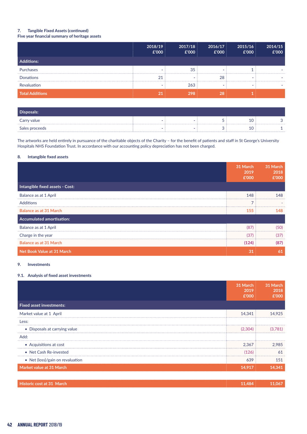## **7. Tangible Fixed Assets (continued)**

### **Five year financial summary of heritage assets**

|                        | 2018/19<br>£'000         | 2017/18<br>E'000 | 2016/17<br>£'000 | 2015/16<br>£'000 | 2014/15<br>£'000 |
|------------------------|--------------------------|------------------|------------------|------------------|------------------|
| <b>Additions:</b>      |                          |                  |                  |                  |                  |
| Purchases              | $\blacksquare$           | 35               |                  |                  |                  |
| <b>Donations</b>       | 21                       | -                | 28               | -                |                  |
| Revaluation            | $\overline{\phantom{a}}$ | 263              | -                | -                |                  |
| <b>Total Additions</b> | $\overline{21}$          | 298              | 28               |                  |                  |

| Disposals:     |  |    |  |
|----------------|--|----|--|
| Carry value    |  | w. |  |
| Sales proceeds |  |    |  |

The artworks are held entirely in pursuance of the charitable objects of the Charity – for the benefit of patients and staff in St George's University Hospitals NHS Foundation Trust. In accordance with our accounting policy depreciation has not been charged.

#### **8. Intangible fixed assets**

|                                  | 31 March<br>2019<br>£'000 | 31 March<br>2018<br>£'000 |
|----------------------------------|---------------------------|---------------------------|
| Intangible fixed assets - Cost:  |                           |                           |
| Balance as at 1 April            | 148                       | 148                       |
| <b>Additions</b>                 | $\overline{ }$            |                           |
| <b>Balance as at 31 March</b>    | 155                       | 148                       |
| <b>Accumulated amortisation:</b> |                           |                           |
| Balance as at 1 April            | (87)                      | (50)                      |
| Charge in the year               | (37)                      | (37)                      |
| <b>Balance as at 31 March</b>    | (124)                     | (87)                      |
| Net Book Value at 31 March       | 31                        | 61                        |

#### **9. Investments**

#### **9.1. Analysis of fixed asset investments**

|                                  | 31 March<br>2019<br>£'000 | 31 March<br>2018<br>£'000 |
|----------------------------------|---------------------------|---------------------------|
| <b>Fixed asset investments:</b>  |                           |                           |
| Market value at 1 April          | 14,341                    | 14,925                    |
| Less:                            |                           |                           |
| • Disposals at carrying value    | (2,304)                   | (3,781)                   |
| Add:                             |                           |                           |
| • Acquisitions at cost           | 2,367                     | 2,985                     |
| • Net Cash Re-invested           | (126)                     | 61                        |
| • Net (loss)/gain on revaluation | 639                       | 151                       |
| Market value at 31 March         | 14,917                    | 14,341                    |
|                                  |                           |                           |
| Historic cost at 31 March        | 11,484                    | 11,067                    |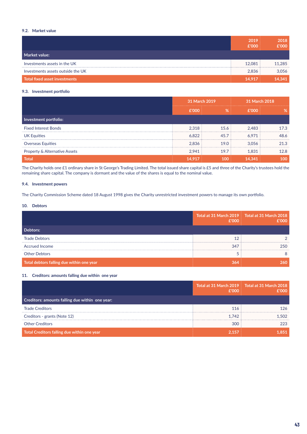### **9.2. Market value**

|                                      | 2019<br>£'000 | 2018<br>£'000 |
|--------------------------------------|---------------|---------------|
| Market value:                        |               |               |
| Investments assets in the UK         | 12.081        | 11.285        |
| Investments assets outside the UK    | 2,836         | 3.056         |
| <b>Total fixed asset investments</b> | 14,917        | 14,341        |

#### **9.3. Investment portfolio**

|                                          | 31 March 2019 |      | 31 March 2018 |      |
|------------------------------------------|---------------|------|---------------|------|
|                                          | £'000         | %    | £'000         | %    |
| Investment portfolio:                    |               |      |               |      |
| <b>Fixed Interest Bonds</b>              | 2.318         | 15.6 | 2.483         | 17.3 |
| UK Equities                              | 6,822         | 45.7 | 6.971         | 48.6 |
| <b>Overseas Equities</b>                 | 2.836         | 19.0 | 3.056         | 21.3 |
| <b>Property &amp; Alternative Assets</b> | 2,941         | 19.7 | 1.831         | 12.8 |
| <b>Total</b>                             | 14.917        | 100  | 14,341        | 100  |

The Charity holds one £1 ordinary share in St George's Trading Limited. The total issued share capital is £5 and three of the Charity's trustees hold the remaining share capital. The company is dormant and the value of the shares is equal to the nominal value.

#### **9.4. Investment powers**

The Charity Commission Scheme dated 18 August 1998 gives the Charity unrestricted investment powers to manage its own portfolio.

#### **10. Debtors**

|                                           | f'000 | Total at 31 March 2019 Total at 31 March 2018<br>f'000 |
|-------------------------------------------|-------|--------------------------------------------------------|
| Debtors:                                  |       |                                                        |
| <b>Trade Debtors</b>                      |       |                                                        |
| <b>Accrued Income</b>                     | 347   | 250.                                                   |
| <b>Other Debtors</b>                      |       |                                                        |
| Total debtors falling due within one year |       |                                                        |

#### **11. Creditors: amounts falling due within one year**

|                                                 | f'000 | Total at 31 March 2019 Total at 31 March 2018<br>f'000 |
|-------------------------------------------------|-------|--------------------------------------------------------|
| Creditors: amounts falling due within one year: |       |                                                        |
| <b>Trade Creditors</b>                          | 116   | 126                                                    |
| Creditors - grants (Note 12)                    | 1.742 | 1.502                                                  |
| <b>Other Creditors</b>                          | 300   | 223                                                    |
| Total Creditors falling due within one year     | 2.157 |                                                        |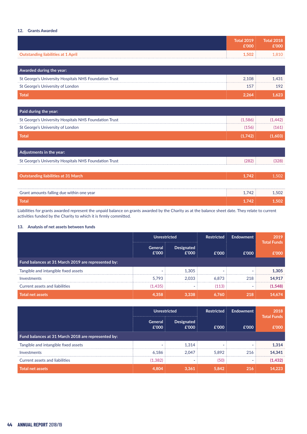### **12. Grants Awarded**

|                                                       | <b>Total 2019</b><br>£'000 | <b>Total 2018</b><br>£'000 |
|-------------------------------------------------------|----------------------------|----------------------------|
| <b>Outstanding liabilities at 1 April</b>             | 1,502                      | 1,810                      |
|                                                       |                            |                            |
| Awarded during the year:                              |                            |                            |
| St George's University Hospitals NHS Foundation Trust | 2,108                      | 1,431                      |
| St George's University of London                      | 157                        | 192                        |
| <b>Total</b>                                          | 2,264                      | 1,623                      |
|                                                       |                            |                            |
| Paid during the year:                                 |                            |                            |
| St George's University Hospitals NHS Foundation Trust | (1,586)                    | (1,442)                    |
| St George's University of London                      | (156)                      | (161)                      |
| <b>Total</b>                                          | (1,742)                    | (1,603)                    |
|                                                       |                            |                            |
| Adjustments in the year:                              |                            |                            |
| St George's University Hospitals NHS Foundation Trust | (282)                      | (328)                      |
|                                                       |                            |                            |
| <b>Outstanding liabilities at 31 March</b>            | 1,742                      | 1,502                      |
|                                                       |                            |                            |
| Grant amounts falling due within one year             | 1,742                      | 1,502                      |
| <b>Total</b>                                          | 1.742                      | 1,502                      |

Liabilities for grants awarded represent the unpaid balance on grants awarded by the Charity as at the balance sheet date. They relate to current activities funded by the Charity to which it is firmly committed.

#### **13. Analysis of net assets between funds**

|                                                    | <b>Unrestricted</b>      |                     | <b>Restricted</b> | Endowment | 2019<br><b>Total Funds</b> |
|----------------------------------------------------|--------------------------|---------------------|-------------------|-----------|----------------------------|
|                                                    | General<br>£'000         | Designated<br>£'000 | £'000             | £'000     | £'000                      |
| Fund balances at 31 March 2019 are represented by: |                          |                     |                   |           |                            |
| Tangible and intangible fixed assets               | $\overline{\phantom{a}}$ | 1.305               | -                 |           | 1.305                      |
| Investments                                        | 5.793                    | 2.033               | 6.873             | 218       | 14.917                     |
| <b>Current assets and liabilities</b>              | (1,435)                  | -                   | (113)             |           | (1,548)                    |
| <b>Total net assets</b>                            | 4.358                    | 3.338               | 6.760             | 218       | 14,674                     |

|                                                    | <b>Unrestricted</b>      |                            | <b>Restricted</b> | Endowment                | 2018<br><b>Total Funds</b> |
|----------------------------------------------------|--------------------------|----------------------------|-------------------|--------------------------|----------------------------|
|                                                    | General<br>£'000         | <b>Designated</b><br>£'000 | £'000             | £'000                    | £'000                      |
| Fund balances at 31 March 2018 are represented by: |                          |                            |                   |                          |                            |
| Tangible and intangible fixed assets               | $\overline{\phantom{a}}$ | 1.314                      |                   | $\blacksquare$           | 1,314                      |
| Investments                                        | 6.186                    | 2.047                      | 5.892             | 216                      | 14.341                     |
| Current assets and liabilities                     | (1, 382)                 |                            | (50)              | $\overline{\phantom{a}}$ | (1, 432)                   |
| <b>Total net assets</b>                            | 4.804                    | 3.361                      | 5.842             | 216                      | 14,223                     |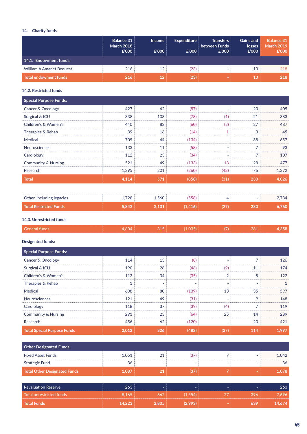## **14. Charity funds**

|                                 | <b>Balance 31</b><br><b>March 2018</b><br>£'000 | <b>Income</b><br>£'000 | <b>Expenditure</b><br>£'000 | <b>Transfers</b><br>between Funds<br>£'000 | <b>Gains and</b><br><b>losses</b><br>£'000 | <b>Balance 31</b><br><b>March 2019</b><br>£'000 |
|---------------------------------|-------------------------------------------------|------------------------|-----------------------------|--------------------------------------------|--------------------------------------------|-------------------------------------------------|
| 14.1. Endowment funds:          |                                                 |                        |                             |                                            |                                            |                                                 |
| <b>William A Amanet Bequest</b> | 216                                             | 12                     | (23)                        | $\overline{\phantom{a}}$                   | 13                                         | 218                                             |
| <b>Total endowment funds</b>    | 216                                             | 12                     | (23)                        |                                            | 13                                         | 218                                             |

## **14.2. Restricted funds**

| 427   | 42  | (87)  |      | 23  | 405   |
|-------|-----|-------|------|-----|-------|
| 338   | 103 | (78)  | (1)  | 21  | 383   |
| 440   | 82  | (60)  | (2)  | 27  | 487   |
| 39    | 16  | (14)  |      | 3   | 45    |
| 709   | 44  | (134) | ۰    | 38  | 657   |
| 133   | 11  | (58)  |      |     | 93    |
| 112   | 23  | (34)  |      |     | 107   |
| 521   | 49  | (133) | 13   | 28  | 477   |
| 1,395 | 201 | (260) | (42) | 76  | 1,372 |
| 4,114 | 571 | (858) | (31) | 230 | 4,026 |
|       |     |       |      |     |       |

| Other, including legacies | 728<br>. . <i>. .</i> | 1.560 | 58) |  |  |
|---------------------------|-----------------------|-------|-----|--|--|
| Total Restricted Funds    | и от лич              |       |     |  |  |

## **14.3. Unrestricted funds**

### **Designated funds:**

| <b>Special Purpose Funds:</b>      |       |     |                |                          |     |       |
|------------------------------------|-------|-----|----------------|--------------------------|-----|-------|
| <b>Cancer &amp; Oncology</b>       | 114   | 13  | (8)            |                          |     | 126   |
| Surgical & ICU                     | 190   | 28  | (46)           | (9)                      | 11  | 174   |
| Children's & Women's               | 113   | 34  | (35)           | ⌒                        | 8   | 122   |
| Therapies & Rehab                  |       | ۰   | $\blacksquare$ | $\overline{\phantom{0}}$ |     |       |
| Medical                            | 608   | 80  | (139)          | 13                       | 35  | 597   |
| <b>Neurosciences</b>               | 121   | 49  | (31)           |                          | 9   | 148   |
| Cardiology                         | 118   | 37  | (39)           | (4)                      |     | 119   |
| <b>Community &amp; Nursing</b>     | 291   | 23  | (64)           | 25                       | 14  | 289   |
| Research                           | 456   | 62  | (120)          |                          | 23  | 421   |
| <b>Total Special Purpose Funds</b> | 2.012 | 326 | (482)          | (27)                     | 114 | 1.997 |

| <b>Other Designated Funds:</b>      |        |                          |                          |                          |     |        |
|-------------------------------------|--------|--------------------------|--------------------------|--------------------------|-----|--------|
| <b>Fixed Asset Funds</b>            | 1.051  | 21                       | (37)                     |                          |     | 1.042  |
| <b>Strategic Fund</b>               | 36     | $\overline{\phantom{0}}$ | $\overline{\phantom{0}}$ | $\overline{\phantom{0}}$ |     | 36     |
| <b>Total Other Designated Funds</b> | 1,087  | 21                       | (37)                     |                          |     | 1,078  |
|                                     |        |                          |                          |                          |     |        |
| Revaluation Reserve                 | 263    |                          | ۰.                       |                          |     | 263    |
| <b>Total unrestricted funds</b>     | 8.165  | 662                      | (1.554)                  | 27                       | 396 | 7,696  |
| <b>Total Funds</b>                  | 14,223 | 2.805                    | (2,993)                  |                          | 639 | 14.674 |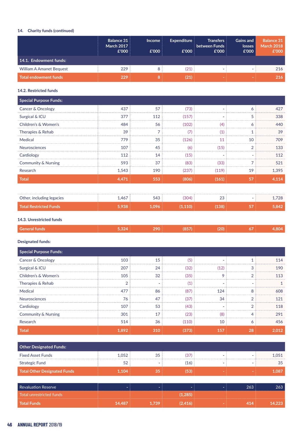## **14. Charity funds (continued)**

|                                 | <b>Balance 31</b><br><b>March 2017</b><br>£'000 | <b>Income</b><br>£'000 | <b>Expenditure</b><br>£'000 | <b>Transfers</b><br>between Funds<br>£'000 | <b>Gains and</b><br>losses<br>£'000 | <b>Balance 31</b><br><b>March 2018</b><br>£'000 |
|---------------------------------|-------------------------------------------------|------------------------|-----------------------------|--------------------------------------------|-------------------------------------|-------------------------------------------------|
| 14.1. Endowment funds:          |                                                 |                        |                             |                                            |                                     |                                                 |
| <b>William A Amanet Bequest</b> | 229                                             |                        | (21)                        |                                            |                                     | 216                                             |
| Total endowment funds           | 229                                             |                        | (21)                        |                                            |                                     | 216                                             |

## **14.2. Restricted funds**

| <b>Special Purpose Funds:</b>  |       |     |       |       |                          |       |
|--------------------------------|-------|-----|-------|-------|--------------------------|-------|
| Cancer & Oncology              | 437   | 57  | (73)  |       | 6                        | 427   |
| Surgical & ICU                 | 377   | 112 | (157) |       | 5                        | 338   |
| Children's & Women's           | 484   | 56  | (102) | (4)   | 6                        | 440   |
| Therapies & Rehab              | 39    |     | (7)   | (1)   |                          | 39    |
| Medical                        | 779   | 35  | (126) | 11    | 10                       | 709   |
| <b>Neurosciences</b>           | 107   | 45  | (6)   | (15)  | $\overline{2}$           | 133   |
| Cardiology                     | 112   | 14  | (15)  |       |                          | 112   |
| <b>Community &amp; Nursing</b> | 593   | 37  | (83)  | (33)  | $\overline{\phantom{0}}$ | 521   |
| Research                       | 1,543 | 190 | (237) | (119) | 19                       | 1.395 |
| <b>Total</b>                   | 4,471 | 553 | (806) | (161) | 57                       | 4,114 |

| Other, including legacies     | ,467 | <b>FAQ</b> | 304) | ົ | 700 |
|-------------------------------|------|------------|------|---|-----|
| <b>Total Restricted Funds</b> |      |            |      |   |     |

### **14.3. Unrestricted funds**

## **Designated funds:**

| <b>Special Purpose Funds:</b>  |       |     |       |      |               |       |
|--------------------------------|-------|-----|-------|------|---------------|-------|
| Cancer & Oncology              | 103   | 15  | (5)   |      |               | 114   |
| Surgical & ICU                 | 207   | 24  | (32)  | (12) | 3             | 190   |
| Children's & Women's           | 105   | 32  | (35)  | 9    | $\mathcal{P}$ | 113   |
| Therapies & Rehab              | ◠     |     | (1)   |      |               |       |
| Medical                        | 477   | 86  | (87)  | 124  | 8             | 608   |
| Neurosciences                  | 76    | 47  | (37)  | 34   | $\mathcal{P}$ | 121   |
| Cardiology                     | 107   | 53  | (43)  |      | $\mathcal{P}$ | 118   |
| <b>Community &amp; Nursing</b> | 301   | 17  | (23)  | (8)  |               | 291   |
| Research                       | 514   | 36  | (110) | 10   | 6             | 456   |
| <b>Total</b>                   | 1,892 | 310 | (373) | 157  | 28            | 2,012 |

| Other Designated Funds:      |       |     |      |  |  |       |  |
|------------------------------|-------|-----|------|--|--|-------|--|
| <b>Fixed Asset Funds</b>     | 1.052 | -35 | (37) |  |  | 1.051 |  |
| <b>Strategic Fund</b>        | 52    |     | (16) |  |  |       |  |
| Total Other Designated Funds | 1104. |     | (53) |  |  | 1.087 |  |

| Revaluation Reserve          |        |     |       |  |  |
|------------------------------|--------|-----|-------|--|--|
| l Total unrestricted funds ' |        |     | .285) |  |  |
| <b>Total Funds</b>           | 14.487 | 739 |       |  |  |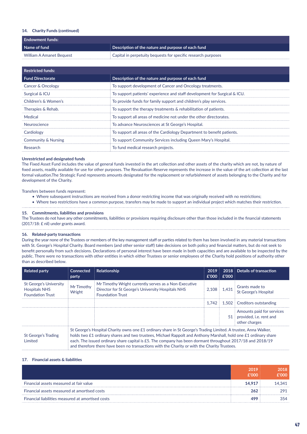#### **14. Charity Funds (continued)**

| <b>Endowment funds:</b>  |                                                                  |  |  |  |  |
|--------------------------|------------------------------------------------------------------|--|--|--|--|
| Name of fund             | $\frac{1}{2}$ Description of the nature and purpose of each fund |  |  |  |  |
| William A Amanet Bequest | Capital in perpetuity bequests for specific research purposes    |  |  |  |  |

| <b>Restricted funds:</b>       |                                                                           |
|--------------------------------|---------------------------------------------------------------------------|
| <b>Fund Directorate</b>        | Description of the nature and purpose of each fund                        |
| Cancer & Oncology              | To support development of Cancer and Oncology treatments.                 |
| Surgical & ICU                 | To support patients' experience and staff development for Surgical & ICU. |
| Children's & Women's           | To provide funds for family support and children's play services.         |
| Therapies & Rehab.             | To support the therapy treatments & rehabilitation of patients.           |
| Medical                        | To support all areas of medicine not under the other directorates.        |
| Neuroscience                   | To advance Neurosciences at St George's Hospital.                         |
| Cardiology                     | To support all areas of the Cardiology Department to benefit patients.    |
| <b>Community &amp; Nursing</b> | To support Community Services including Queen Mary's Hospital.            |
| Research                       | To fund medical research projects.                                        |

#### **Unrestricted and designated funds**

The Fixed Asset Fund includes the value of general funds invested in the art collection and other assets of the charity which are not, by nature of fixed assets, readily available for use for other purposes. The Revaluation Reserve represents the increase in the value of the art collection at the last formal valuation.The Strategic Fund represents amounts designated for the replacement or refurbishment of assets belonging to the Charity and for development of the Charity.

#### Transfers between funds represent:

- Where subsequent instructions are received from a donor restricting income that was originally received with no restrictions;
- • Where two restrictions have a common purpose, transfers may be made to support an individual project which matches their restriction.

#### **15. Commitments, liabilities and provisions**

The Trustees do not have any other commitments, liabilities or provisions requiring disclosure other than those included in the financial statements (2017/18: £ nil) under grants award.

#### **16. Related-party transactions**

During the year none of the Trustees or members of the key management staff or parties related to them has been involved in any material transactions with St. George's Hospital Charity. Board members (and other senior staff) take decisions on both policy and financial matters, but do not seek to benefit personally from such decisions. Declarations of personal interest have been made in both capacities and are available to be inspected by the public. There were no transactions with other entities in which either Trustees or senior employees of the Charity hold positions of authority other than as described below.

| <b>Related party</b>                                                             | <b>Connected</b><br>party | Relationship                                                                                                                                                                                                                                                                                                                                                                                                                                     | 2019<br>£'000 | £'000       | 2018 Details of transaction                                              |
|----------------------------------------------------------------------------------|---------------------------|--------------------------------------------------------------------------------------------------------------------------------------------------------------------------------------------------------------------------------------------------------------------------------------------------------------------------------------------------------------------------------------------------------------------------------------------------|---------------|-------------|--------------------------------------------------------------------------|
| <b>St George's University</b><br><b>Hospitals NHS</b><br><b>Foundation Trust</b> | Mr Timothy<br>Wright      | Mr Timothy Wright currently serves as a Non-Executive<br>Director for St George's University Hospitals NHS<br><b>Foundation Trust</b>                                                                                                                                                                                                                                                                                                            |               | 2,108 1,431 | Grants made to<br>St George's Hospital                                   |
|                                                                                  |                           |                                                                                                                                                                                                                                                                                                                                                                                                                                                  | 1.742         |             | 1.502 Creditors outstanding                                              |
|                                                                                  |                           |                                                                                                                                                                                                                                                                                                                                                                                                                                                  |               |             | Amounts paid for services<br>51 provided, i.e. rent and<br>other charges |
| St George's Trading<br>Limited                                                   |                           | St George's Hospital Charity owns one £1 ordinary share in St George's Trading Limited. A trustee, Anna Walker,<br>holds two £1 ordinary shares and two trustees, Michael Rappolt and Anthony Marshall, hold one £1 ordinary share<br>each. The issued ordinary share capital is £5. The company has been dormant throughout 2017/18 and 2018/19<br>and therefore there have been no transactions with the Charity or with the Charity Trustees. |               |             |                                                                          |

#### **17. Financial assets & liabilities**

|                                                   | 2019<br>f'000 | 2018<br><b>600,3</b> |
|---------------------------------------------------|---------------|----------------------|
| Financial assets measured at fair value           | 14.917        | 14.341               |
| Financial assets measured at amortised costs      | 262           | 291                  |
| Financial liabilities measured at amortised costs | 499           |                      |